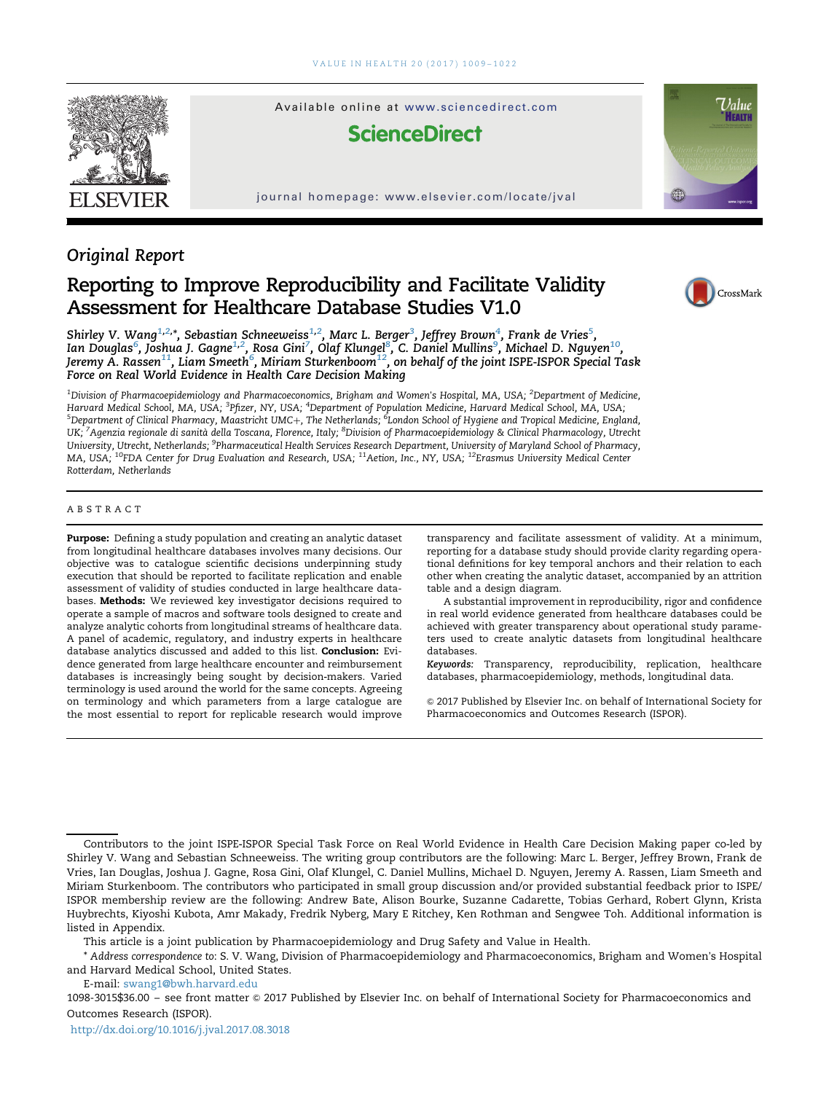Available online at www.sciencedirect.com

**ScienceDirect** 

journal homepage: www.elsevier.com/locate/jval



## Original Report

# Reporting to Improve Reproducibility and Facilitate Validity Assessment for Healthcare Database Studies V1.0



Value

Shirley V. Wang<sup>1,2,</sup>\*, Sebastian Schneeweiss<sup>1,2</sup>, Marc L. Berger<sup>3</sup>, Jeffrey Brown<sup>4</sup>, Frank de Vries<sup>5</sup>,<br>Ian Douglas<sup>6</sup>, Joshua J. Gagne<sup>1,2</sup>, Rosa Gini<sup>7</sup>, Olaf Klungel<sup>8</sup>, C. Daniel Mullins<sup>9</sup>, Michael D. Nguyen<sup>10</sup>, Jeremy A. Rassen $^{11}$ , Liam Smeeth $^6$ , Miriam Sturkenboom $^{12}$ , on behalf of the joint ISPE-ISPOR Special Task Force on Real World Evidence in Health Care Decision Making

<sup>1</sup>Division of Pharmacoepidemiology and Pharmacoeconomics, Brigham and Women's Hospital, MA, USA; <sup>2</sup>Department of Medicine, Harvard Medical School, MA, USA; <sup>3</sup>Pfizer, NY, USA; <sup>4</sup>Department of Population Medicine, Harvard Medical School, MA, USA; <sup>5</sup>Department of Clinical Pharmacy, Maastricht UMC+, The Netherlands; <sup>6</sup>London School of Hygiene and Tropical Medicine, England, UK; <sup>7</sup>Agenzia regionale di sanità della Toscana, Florence, Italy; <sup>8</sup>Division of Pharmacoepidemiology & Clinical Pharmacology, Utrecht University, Utrecht, Netherlands; <sup>9</sup>Pharmaceutical Health Services Research Department, University of Maryland School of Pharmacy, MA, USA; <sup>10</sup>FDA Center for Drug Evaluation and Research, USA; <sup>11</sup>Aetion, Inc., NY, USA; <sup>12</sup>Erasmus University Medical Center Rotterdam, Netherlands

## ABSTRACT

Purpose: Defining a study population and creating an analytic dataset from longitudinal healthcare databases involves many decisions. Our objective was to catalogue scientific decisions underpinning study execution that should be reported to facilitate replication and enable assessment of validity of studies conducted in large healthcare databases. Methods: We reviewed key investigator decisions required to operate a sample of macros and software tools designed to create and analyze analytic cohorts from longitudinal streams of healthcare data. A panel of academic, regulatory, and industry experts in healthcare database analytics discussed and added to this list. Conclusion: Evidence generated from large healthcare encounter and reimbursement databases is increasingly being sought by decision‐makers. Varied terminology is used around the world for the same concepts. Agreeing on terminology and which parameters from a large catalogue are the most essential to report for replicable research would improve

transparency and facilitate assessment of validity. At a minimum, reporting for a database study should provide clarity regarding operational definitions for key temporal anchors and their relation to each other when creating the analytic dataset, accompanied by an attrition table and a design diagram.

A substantial improvement in reproducibility, rigor and confidence in real world evidence generated from healthcare databases could be achieved with greater transparency about operational study parameters used to create analytic datasets from longitudinal healthcare databases.

Keywords: Transparency, reproducibility, replication, healthcare databases, pharmacoepidemiology, methods, longitudinal data.

& 2017 Published by Elsevier Inc. on behalf of International Society for Pharmacoeconomics and Outcomes Research (ISPOR).

This article is a joint publication by Pharmacoepidemiology and Drug Safety and Value in Health.

E-mail: [swang1@bwh.harvard.edu](mailto:swang1@bwh.harvard.edu)

Contributors to the joint ISPE‐ISPOR Special Task Force on Real World Evidence in Health Care Decision Making paper co‐led by Shirley V. Wang and Sebastian Schneeweiss. The writing group contributors are the following: Marc L. Berger, Jeffrey Brown, Frank de Vries, Ian Douglas, Joshua J. Gagne, Rosa Gini, Olaf Klungel, C. Daniel Mullins, Michael D. Nguyen, Jeremy A. Rassen, Liam Smeeth and Miriam Sturkenboom. The contributors who participated in small group discussion and/or provided substantial feedback prior to ISPE/ ISPOR membership review are the following: Andrew Bate, Alison Bourke, Suzanne Cadarette, Tobias Gerhard, Robert Glynn, Krista Huybrechts, Kiyoshi Kubota, Amr Makady, Fredrik Nyberg, Mary E Ritchey, Ken Rothman and Sengwee Toh. Additional information is listed in Appendix.

<sup>\*</sup> Address correspondence to: S. V. Wang, Division of Pharmacoepidemiology and Pharmacoeconomics, Brigham and Women's Hospital and Harvard Medical School, United States.

<sup>1098-3015\$36.00</sup> – see front matter & 2017 Published by Elsevier Inc. on behalf of International Society for Pharmacoeconomics and Outcomes Research (ISPOR).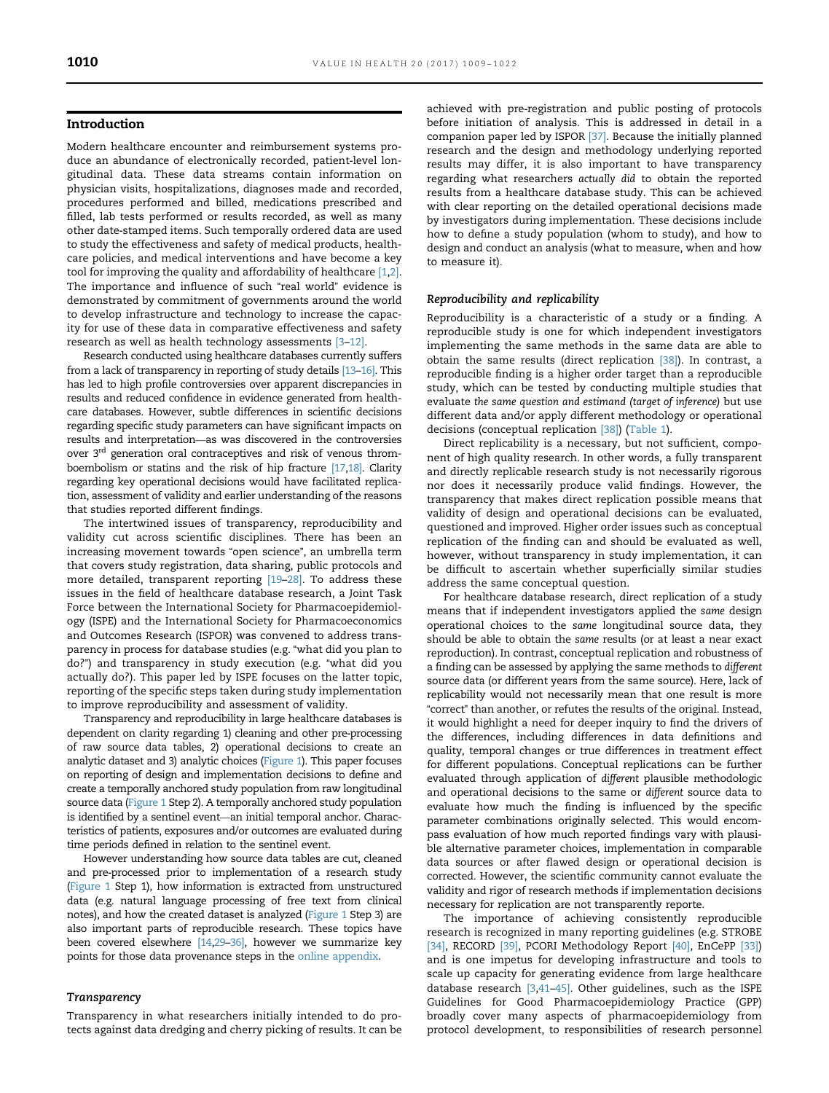## Introduction

Modern healthcare encounter and reimbursement systems produce an abundance of electronically recorded, patient‐level longitudinal data. These data streams contain information on physician visits, hospitalizations, diagnoses made and recorded, procedures performed and billed, medications prescribed and filled, lab tests performed or results recorded, as well as many other date‐stamped items. Such temporally ordered data are used to study the effectiveness and safety of medical products, healthcare policies, and medical interventions and have become a key tool for improving the quality and affordability of healthcare [1,2]. The importance and influence of such "real world" evidence is demonstrated by commitment of governments around the world to develop infrastructure and technology to increase the capacity for use of these data in comparative effectiveness and safety research as well as health technology assessments [3–12].

Research conducted using healthcare databases currently suffers from a lack of transparency in reporting of study details [13–16]. This has led to high profile controversies over apparent discrepancies in results and reduced confidence in evidence generated from healthcare databases. However, subtle differences in scientific decisions regarding specific study parameters can have significant impacts on results and interpretation—as was discovered in the controversies over 3rd generation oral contraceptives and risk of venous thromboembolism or statins and the risk of hip fracture [17,18]. Clarity regarding key operational decisions would have facilitated replication, assessment of validity and earlier understanding of the reasons that studies reported different findings.

The intertwined issues of transparency, reproducibility and validity cut across scientific disciplines. There has been an increasing movement towards "open science", an umbrella term that covers study registration, data sharing, public protocols and more detailed, transparent reporting [19–28]. To address these issues in the field of healthcare database research, a Joint Task Force between the International Society for Pharmacoepidemiology (ISPE) and the International Society for Pharmacoeconomics and Outcomes Research (ISPOR) was convened to address transparency in process for database studies (e.g. "what did you plan to do?") and transparency in study execution (e.g. "what did you actually do?). This paper led by ISPE focuses on the latter topic, reporting of the specific steps taken during study implementation to improve reproducibility and assessment of validity.

Transparency and reproducibility in large healthcare databases is dependent on clarity regarding 1) cleaning and other pre‐processing of raw source data tables, 2) operational decisions to create an analytic dataset and 3) analytic choices (Figure 1). This paper focuses on reporting of design and implementation decisions to define and create a temporally anchored study population from raw longitudinal source data (Figure 1 Step 2). A temporally anchored study population is identified by a sentinel event—an initial temporal anchor. Characteristics of patients, exposures and/or outcomes are evaluated during time periods defined in relation to the sentinel event.

However understanding how source data tables are cut, cleaned and pre‐processed prior to implementation of a research study (Figure 1 Step 1), how information is extracted from unstructured data (e.g. natural language processing of free text from clinical notes), and how the created dataset is analyzed (Figure 1 Step 3) are also important parts of reproducible research. These topics have been covered elsewhere [14,29–36], however we summarize key points for those data provenance steps in the online appendix.

#### Transparency

Transparency in what researchers initially intended to do protects against data dredging and cherry picking of results. It can be

achieved with pre‐registration and public posting of protocols before initiation of analysis. This is addressed in detail in a companion paper led by ISPOR [37]. Because the initially planned research and the design and methodology underlying reported results may differ, it is also important to have transparency regarding what researchers actually did to obtain the reported results from a healthcare database study. This can be achieved with clear reporting on the detailed operational decisions made by investigators during implementation. These decisions include how to define a study population (whom to study), and how to design and conduct an analysis (what to measure, when and how to measure it).

#### Reproducibility and replicability

Reproducibility is a characteristic of a study or a finding. A reproducible study is one for which independent investigators implementing the same methods in the same data are able to obtain the same results (direct replication [38]). In contrast, a reproducible finding is a higher order target than a reproducible study, which can be tested by conducting multiple studies that evaluate the same question and estimand (target of inference) but use different data and/or apply different methodology or operational decisions (conceptual replication [38]) (Table 1).

Direct replicability is a necessary, but not sufficient, component of high quality research. In other words, a fully transparent and directly replicable research study is not necessarily rigorous nor does it necessarily produce valid findings. However, the transparency that makes direct replication possible means that validity of design and operational decisions can be evaluated, questioned and improved. Higher order issues such as conceptual replication of the finding can and should be evaluated as well, however, without transparency in study implementation, it can be difficult to ascertain whether superficially similar studies address the same conceptual question.

For healthcare database research, direct replication of a study means that if independent investigators applied the same design operational choices to the same longitudinal source data, they should be able to obtain the same results (or at least a near exact reproduction). In contrast, conceptual replication and robustness of a finding can be assessed by applying the same methods to different source data (or different years from the same source). Here, lack of replicability would not necessarily mean that one result is more "correct" than another, or refutes the results of the original. Instead, it would highlight a need for deeper inquiry to find the drivers of the differences, including differences in data definitions and quality, temporal changes or true differences in treatment effect for different populations. Conceptual replications can be further evaluated through application of different plausible methodologic and operational decisions to the same or different source data to evaluate how much the finding is influenced by the specific parameter combinations originally selected. This would encompass evaluation of how much reported findings vary with plausible alternative parameter choices, implementation in comparable data sources or after flawed design or operational decision is corrected. However, the scientific community cannot evaluate the validity and rigor of research methods if implementation decisions necessary for replication are not transparently reporte.

The importance of achieving consistently reproducible research is recognized in many reporting guidelines (e.g. STROBE [34], RECORD [39], PCORI Methodology Report [40], EnCePP [33]) and is one impetus for developing infrastructure and tools to scale up capacity for generating evidence from large healthcare database research [3,41–45]. Other guidelines, such as the ISPE Guidelines for Good Pharmacoepidemiology Practice (GPP) broadly cover many aspects of pharmacoepidemiology from protocol development, to responsibilities of research personnel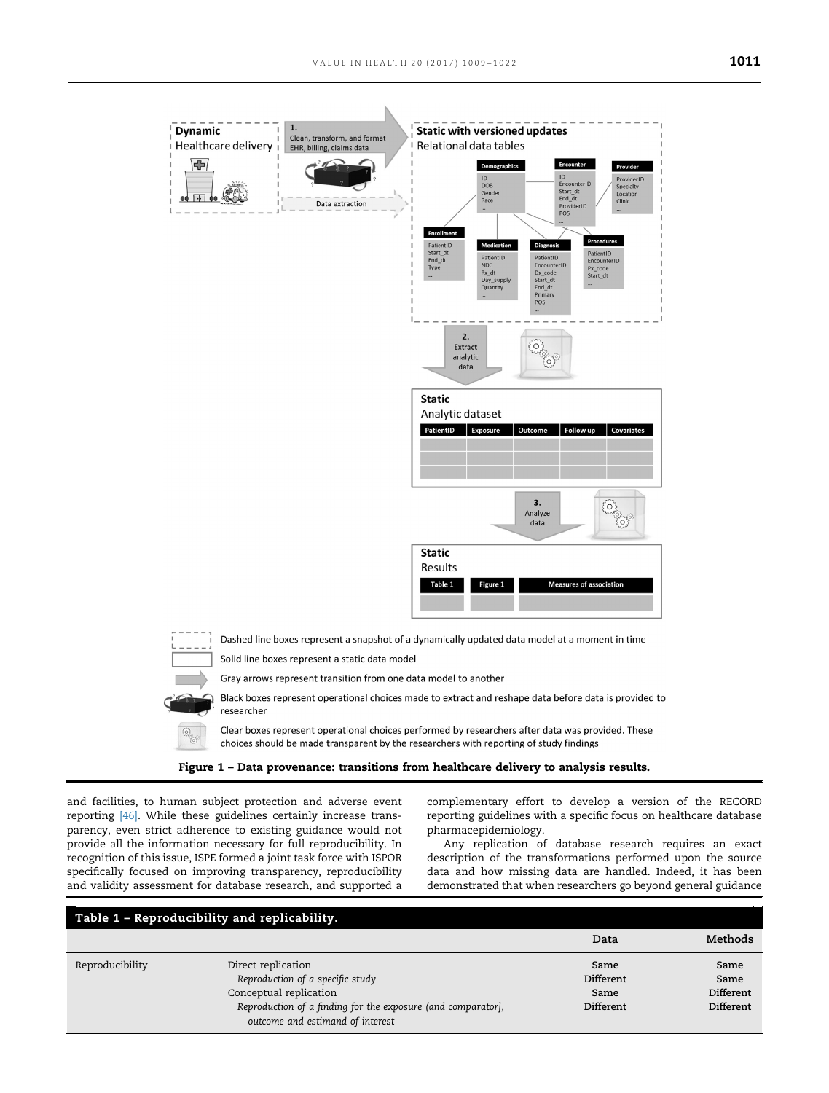

choices should be made transparent by the researchers with reporting of study findings

#### Figure 1 – Data provenance: transitions from healthcare delivery to analysis results.

and facilities, to human subject protection and adverse event reporting [46]. While these guidelines certainly increase transparency, even strict adherence to existing guidance would not provide all the information necessary for full reproducibility. In recognition of this issue, ISPE formed a joint task force with ISPOR specifically focused on improving transparency, reproducibility and validity assessment for database research, and supported a complementary effort to develop a version of the RECORD reporting guidelines with a specific focus on healthcare database pharmacepidemiology.

Any replication of database research requires an exact description of the transformations performed upon the source data and how missing data are handled. Indeed, it has been demonstrated that when researchers go beyond general guidance

| Table 1 – Reproducibility and replicability. |                                                                                                                                                                                      |                                        |                                        |
|----------------------------------------------|--------------------------------------------------------------------------------------------------------------------------------------------------------------------------------------|----------------------------------------|----------------------------------------|
|                                              |                                                                                                                                                                                      | Data                                   | Methods                                |
| Reproducibility                              | Direct replication<br>Reproduction of a specific study<br>Conceptual replication<br>Reproduction of a finding for the exposure (and comparator),<br>outcome and estimand of interest | Same<br>Different<br>Same<br>Different | Same<br>Same<br>Different<br>Different |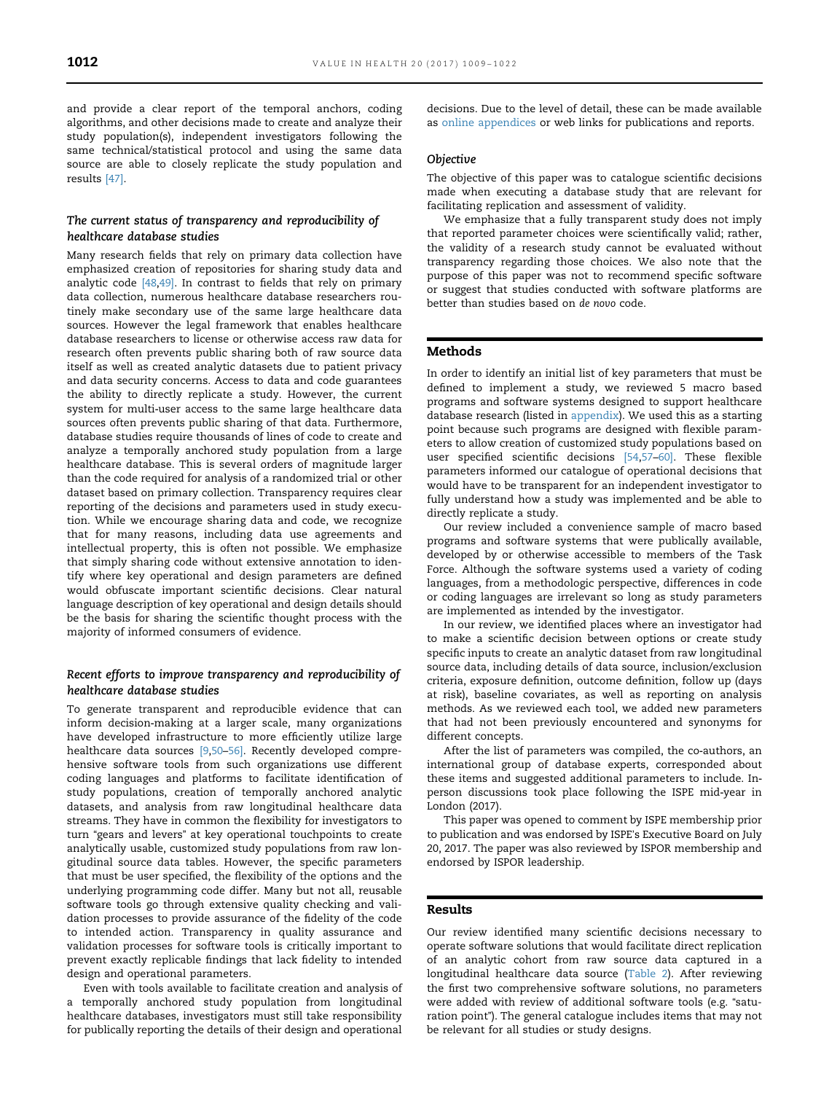and provide a clear report of the temporal anchors, coding algorithms, and other decisions made to create and analyze their study population(s), independent investigators following the same technical/statistical protocol and using the same data source are able to closely replicate the study population and results [47].

## The current status of transparency and reproducibility of healthcare database studies

Many research fields that rely on primary data collection have emphasized creation of repositories for sharing study data and analytic code [48,49]. In contrast to fields that rely on primary data collection, numerous healthcare database researchers routinely make secondary use of the same large healthcare data sources. However the legal framework that enables healthcare database researchers to license or otherwise access raw data for research often prevents public sharing both of raw source data itself as well as created analytic datasets due to patient privacy and data security concerns. Access to data and code guarantees the ability to directly replicate a study. However, the current system for multi‐user access to the same large healthcare data sources often prevents public sharing of that data. Furthermore, database studies require thousands of lines of code to create and analyze a temporally anchored study population from a large healthcare database. This is several orders of magnitude larger than the code required for analysis of a randomized trial or other dataset based on primary collection. Transparency requires clear reporting of the decisions and parameters used in study execution. While we encourage sharing data and code, we recognize that for many reasons, including data use agreements and intellectual property, this is often not possible. We emphasize that simply sharing code without extensive annotation to identify where key operational and design parameters are defined would obfuscate important scientific decisions. Clear natural language description of key operational and design details should be the basis for sharing the scientific thought process with the majority of informed consumers of evidence.

## Recent efforts to improve transparency and reproducibility of healthcare database studies

To generate transparent and reproducible evidence that can inform decision‐making at a larger scale, many organizations have developed infrastructure to more efficiently utilize large healthcare data sources [9,50–56]. Recently developed comprehensive software tools from such organizations use different coding languages and platforms to facilitate identification of study populations, creation of temporally anchored analytic datasets, and analysis from raw longitudinal healthcare data streams. They have in common the flexibility for investigators to turn "gears and levers" at key operational touchpoints to create analytically usable, customized study populations from raw longitudinal source data tables. However, the specific parameters that must be user specified, the flexibility of the options and the underlying programming code differ. Many but not all, reusable software tools go through extensive quality checking and validation processes to provide assurance of the fidelity of the code to intended action. Transparency in quality assurance and validation processes for software tools is critically important to prevent exactly replicable findings that lack fidelity to intended design and operational parameters.

Even with tools available to facilitate creation and analysis of a temporally anchored study population from longitudinal healthcare databases, investigators must still take responsibility for publically reporting the details of their design and operational

decisions. Due to the level of detail, these can be made available as online appendices or web links for publications and reports.

## **Objective**

The objective of this paper was to catalogue scientific decisions made when executing a database study that are relevant for facilitating replication and assessment of validity.

We emphasize that a fully transparent study does not imply that reported parameter choices were scientifically valid; rather, the validity of a research study cannot be evaluated without transparency regarding those choices. We also note that the purpose of this paper was not to recommend specific software or suggest that studies conducted with software platforms are better than studies based on de novo code.

## Methods

In order to identify an initial list of key parameters that must be defined to implement a study, we reviewed 5 macro based programs and software systems designed to support healthcare database research (listed in appendix). We used this as a starting point because such programs are designed with flexible parameters to allow creation of customized study populations based on user specified scientific decisions [54,57–60]. These flexible parameters informed our catalogue of operational decisions that would have to be transparent for an independent investigator to fully understand how a study was implemented and be able to directly replicate a study.

Our review included a convenience sample of macro based programs and software systems that were publically available, developed by or otherwise accessible to members of the Task Force. Although the software systems used a variety of coding languages, from a methodologic perspective, differences in code or coding languages are irrelevant so long as study parameters are implemented as intended by the investigator.

In our review, we identified places where an investigator had to make a scientific decision between options or create study specific inputs to create an analytic dataset from raw longitudinal source data, including details of data source, inclusion/exclusion criteria, exposure definition, outcome definition, follow up (days at risk), baseline covariates, as well as reporting on analysis methods. As we reviewed each tool, we added new parameters that had not been previously encountered and synonyms for different concepts.

After the list of parameters was compiled, the co-authors, an international group of database experts, corresponded about these items and suggested additional parameters to include. In‐ person discussions took place following the ISPE mid‐year in London (2017).

This paper was opened to comment by ISPE membership prior to publication and was endorsed by ISPE's Executive Board on July 20, 2017. The paper was also reviewed by ISPOR membership and endorsed by ISPOR leadership.

#### Results

Our review identified many scientific decisions necessary to operate software solutions that would facilitate direct replication of an analytic cohort from raw source data captured in a longitudinal healthcare data source (Table 2). After reviewing the first two comprehensive software solutions, no parameters were added with review of additional software tools (e.g. "saturation point"). The general catalogue includes items that may not be relevant for all studies or study designs.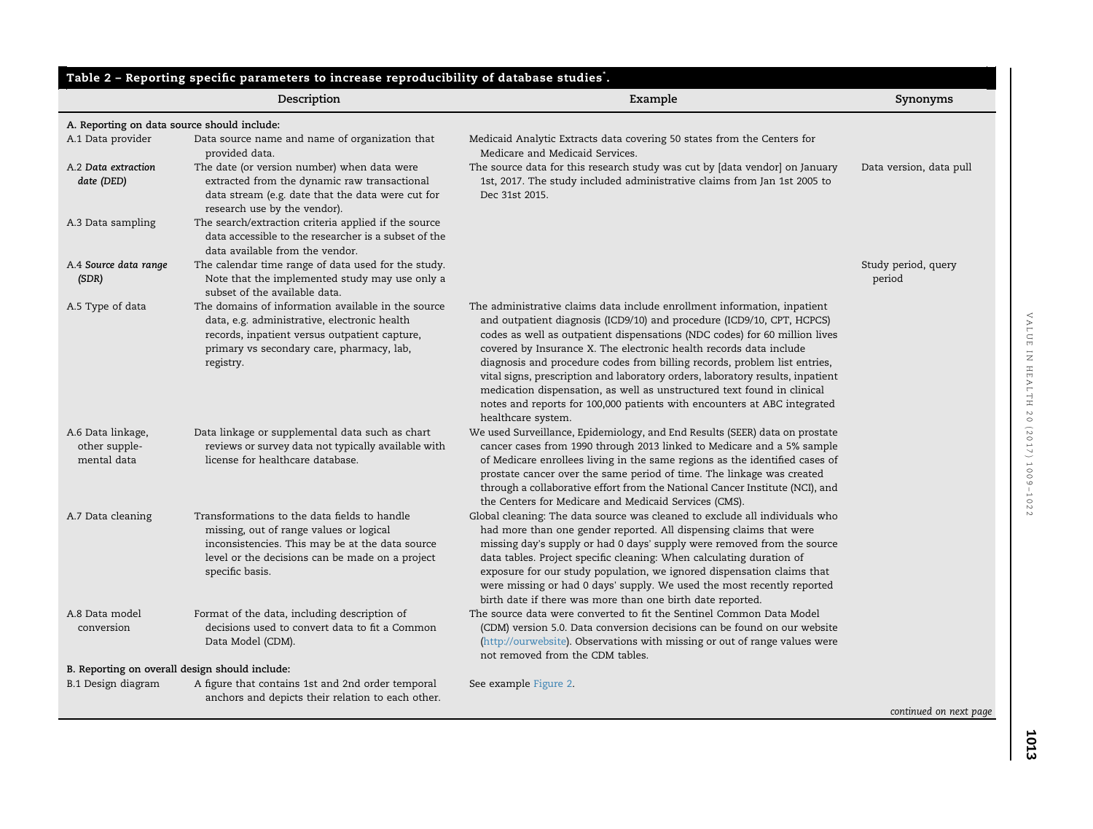| Table 2 - Reporting specific parameters to increase reproducibility of database studies. |                                                                                                                                                                                                                  |                                                                                                                                                                                                                                                                                                                                                                                                                                                                                                                                                                                                                                                    |                               |
|------------------------------------------------------------------------------------------|------------------------------------------------------------------------------------------------------------------------------------------------------------------------------------------------------------------|----------------------------------------------------------------------------------------------------------------------------------------------------------------------------------------------------------------------------------------------------------------------------------------------------------------------------------------------------------------------------------------------------------------------------------------------------------------------------------------------------------------------------------------------------------------------------------------------------------------------------------------------------|-------------------------------|
|                                                                                          | Description                                                                                                                                                                                                      | Example                                                                                                                                                                                                                                                                                                                                                                                                                                                                                                                                                                                                                                            | Synonyms                      |
| A. Reporting on data source should include:                                              |                                                                                                                                                                                                                  |                                                                                                                                                                                                                                                                                                                                                                                                                                                                                                                                                                                                                                                    |                               |
| A.1 Data provider                                                                        | Data source name and name of organization that<br>provided data.                                                                                                                                                 | Medicaid Analytic Extracts data covering 50 states from the Centers for<br>Medicare and Medicaid Services.                                                                                                                                                                                                                                                                                                                                                                                                                                                                                                                                         |                               |
| A.2 Data extraction<br>date (DED)                                                        | The date (or version number) when data were<br>extracted from the dynamic raw transactional<br>data stream (e.g. date that the data were cut for<br>research use by the vendor).                                 | The source data for this research study was cut by [data vendor] on January<br>1st, 2017. The study included administrative claims from Jan 1st 2005 to<br>Dec 31st 2015.                                                                                                                                                                                                                                                                                                                                                                                                                                                                          | Data version, data pull       |
| A.3 Data sampling                                                                        | The search/extraction criteria applied if the source<br>data accessible to the researcher is a subset of the<br>data available from the vendor.                                                                  |                                                                                                                                                                                                                                                                                                                                                                                                                                                                                                                                                                                                                                                    |                               |
| A.4 Source data range<br>(SDR)                                                           | The calendar time range of data used for the study.<br>Note that the implemented study may use only a<br>subset of the available data.                                                                           |                                                                                                                                                                                                                                                                                                                                                                                                                                                                                                                                                                                                                                                    | Study period, query<br>period |
| A.5 Type of data                                                                         | The domains of information available in the source<br>data, e.g. administrative, electronic health<br>records, inpatient versus outpatient capture,<br>primary vs secondary care, pharmacy, lab,<br>registry.    | The administrative claims data include enrollment information, inpatient<br>and outpatient diagnosis (ICD9/10) and procedure (ICD9/10, CPT, HCPCS)<br>codes as well as outpatient dispensations (NDC codes) for 60 million lives<br>covered by Insurance X. The electronic health records data include<br>diagnosis and procedure codes from billing records, problem list entries,<br>vital signs, prescription and laboratory orders, laboratory results, inpatient<br>medication dispensation, as well as unstructured text found in clinical<br>notes and reports for 100,000 patients with encounters at ABC integrated<br>healthcare system. |                               |
| A.6 Data linkage,<br>other supple-<br>mental data                                        | Data linkage or supplemental data such as chart<br>reviews or survey data not typically available with<br>license for healthcare database.                                                                       | We used Surveillance, Epidemiology, and End Results (SEER) data on prostate<br>cancer cases from 1990 through 2013 linked to Medicare and a 5% sample<br>of Medicare enrollees living in the same regions as the identified cases of<br>prostate cancer over the same period of time. The linkage was created<br>through a collaborative effort from the National Cancer Institute (NCI), and<br>the Centers for Medicare and Medicaid Services (CMS).                                                                                                                                                                                             |                               |
| A.7 Data cleaning                                                                        | Transformations to the data fields to handle<br>missing, out of range values or logical<br>inconsistencies. This may be at the data source<br>level or the decisions can be made on a project<br>specific basis. | Global cleaning: The data source was cleaned to exclude all individuals who<br>had more than one gender reported. All dispensing claims that were<br>missing day's supply or had 0 days' supply were removed from the source<br>data tables. Project specific cleaning: When calculating duration of<br>exposure for our study population, we ignored dispensation claims that<br>were missing or had 0 days' supply. We used the most recently reported<br>birth date if there was more than one birth date reported.                                                                                                                             |                               |
| A.8 Data model<br>conversion                                                             | Format of the data, including description of<br>decisions used to convert data to fit a Common<br>Data Model (CDM).                                                                                              | The source data were converted to fit the Sentinel Common Data Model<br>(CDM) version 5.0. Data conversion decisions can be found on our website<br>(http://ourwebsite). Observations with missing or out of range values were<br>not removed from the CDM tables.                                                                                                                                                                                                                                                                                                                                                                                 |                               |
| B. Reporting on overall design should include:                                           |                                                                                                                                                                                                                  |                                                                                                                                                                                                                                                                                                                                                                                                                                                                                                                                                                                                                                                    |                               |
| B.1 Design diagram                                                                       | A figure that contains 1st and 2nd order temporal<br>anchors and depicts their relation to each other.                                                                                                           | See example Figure 2.                                                                                                                                                                                                                                                                                                                                                                                                                                                                                                                                                                                                                              |                               |
|                                                                                          |                                                                                                                                                                                                                  |                                                                                                                                                                                                                                                                                                                                                                                                                                                                                                                                                                                                                                                    | continued on next page        |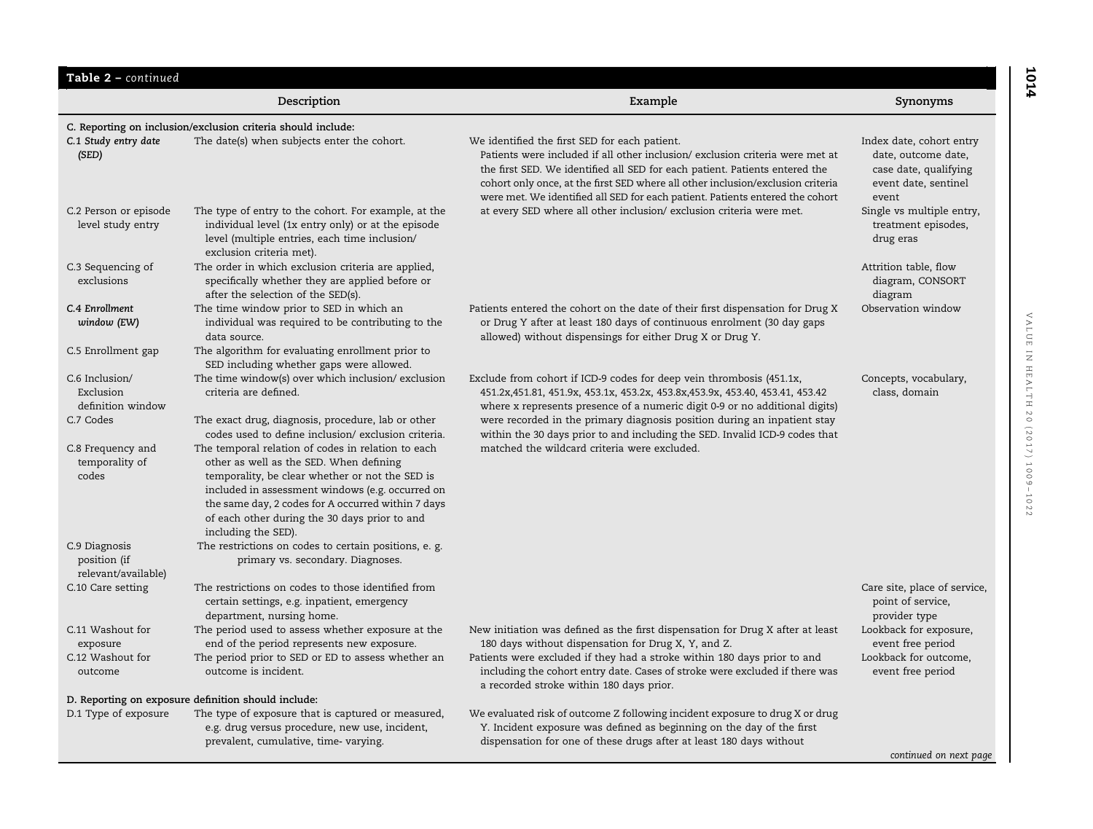**Table 2 –** continued Description Example Synonyms C. Reporting on inclusion/exclusion criteria should include: C.1 Study entry date (SED) The date(s) when subjects enter the cohort. We identified the first SED for each patient. Patients were included if all other inclusion/ exclusion criteria were met at the first SED. We identified all SED for each patient. Patients entered the cohort only once, at the first SED where all other inclusion/exclusion criteria were met. We identified all SED for each patient. Patients entered the cohort at every SED where all other inclusion/ exclusion criteria were met. Index date, cohort entry date, outcome date, case date, qualifying event date, sentinel eventC.2 Person or episode level study entry The type of entry to the cohort. For example, at the individual level (1x entry only) or at the episode level (multiple entries, each time inclusion/ exclusion criteria met). Single vs multiple entry, treatment episodes, drug eras C.3 Sequencing of exclusionsThe order in which exclusion criteria are applied, specifically whether they are applied before or after the selection of the SED(s). Attrition table, flow diagram, CONSORT diagram C.4 Enrollmentwindow (EW) The time window prior to SED in which an individual was required to be contributing to the data source.Patients entered the cohort on the date of their first dispensation for Drug <sup>X</sup> or Drug <sup>Y</sup> after at least <sup>180</sup> days of continuous enrolment (30 day gaps allowed) without dispensings for either Drug <sup>X</sup> or Drug Y. Observation windowC.5 Enrollment gap The algorithm for evaluating enrollment prior to SED including whether gaps were allowed. C.6 Inclusion/ Exclusiondefinition windowThe time window(s) over which inclusion/ exclusion criteria are defined.Exclude from cohort if ICD‐<sup>9</sup> codes for deep vein thrombosis (451.1x, 451.2x,451.81, 451.9x, 453.1x, 453.2x, 453.8x,453.9x, 453.40, 453.41, 453.42 where <sup>x</sup> represents presence of <sup>a</sup> numeric digit <sup>0</sup>‐<sup>9</sup> or no additional digits) were recorded in the primary diagnosis position during an inpatient stay within the <sup>30</sup> days prior to and including the SED. Invalid ICD‐<sup>9</sup> codes that matched the wildcard criteria were excluded.Concepts, vocabulary, class, domain C.7 Codes The exact drug, diagnosis, procedure, lab or other codes used to define inclusion/ exclusion criteria. C.8 Frequency and temporality of codesThe temporal relation of codes in relation to each other as well as the SED. When defining temporality, be clear whether or not the SED is included in assessment windows (e.g. occurred on the same day, <sup>2</sup> codes for <sup>A</sup> occurred within <sup>7</sup> days of each other during the <sup>30</sup> days prior to and including the SED). C.9 Diagnosis position (if relevant/available) The restrictions on codes to certain positions, e. g. primary vs. secondary. Diagnoses. C.10 Care setting The restrictions on codes to those identified from certain settings, e.g. inpatient, emergency department, nursing home. Care site, place of service, point of service, provider type C.11 Washout forexposure The period used to assess whether exposure at the end of the period represents new exposure. New initiation was defined as the first dispensation for Drug <sup>X</sup> after at least <sup>180</sup> days without dispensation for Drug X, Y, and Z. Lookback for exposure, event free period C.12 Washout foroutcomeThe period prior to SED or ED to assess whether an outcome is incident.Patients were excluded if they had <sup>a</sup> stroke within <sup>180</sup> days prior to and including the cohort entry date. Cases of stroke were excluded if there was <sup>a</sup> recorded stroke within <sup>180</sup> days prior. Lookback for outcome, event free period D. Reporting on exposure definition should include: D.1 Type of exposure The type of exposure that is captured or measured, e.g. drug versus procedure, new use, incident, prevalent, cumulative, time‐ varying. We evaluated risk of outcome <sup>Z</sup> following incident exposure to drug <sup>X</sup> or drug Y. Incident exposure was defined as beginning on the day of the first dispensation for one of these drugs after at least <sup>180</sup> days without

VALUE IN HEALTH 20 (2017) 1009 VALUE IN HEALTH 20 (2017) 1009-1022 1014 1009-1022

continued on next page

**1014**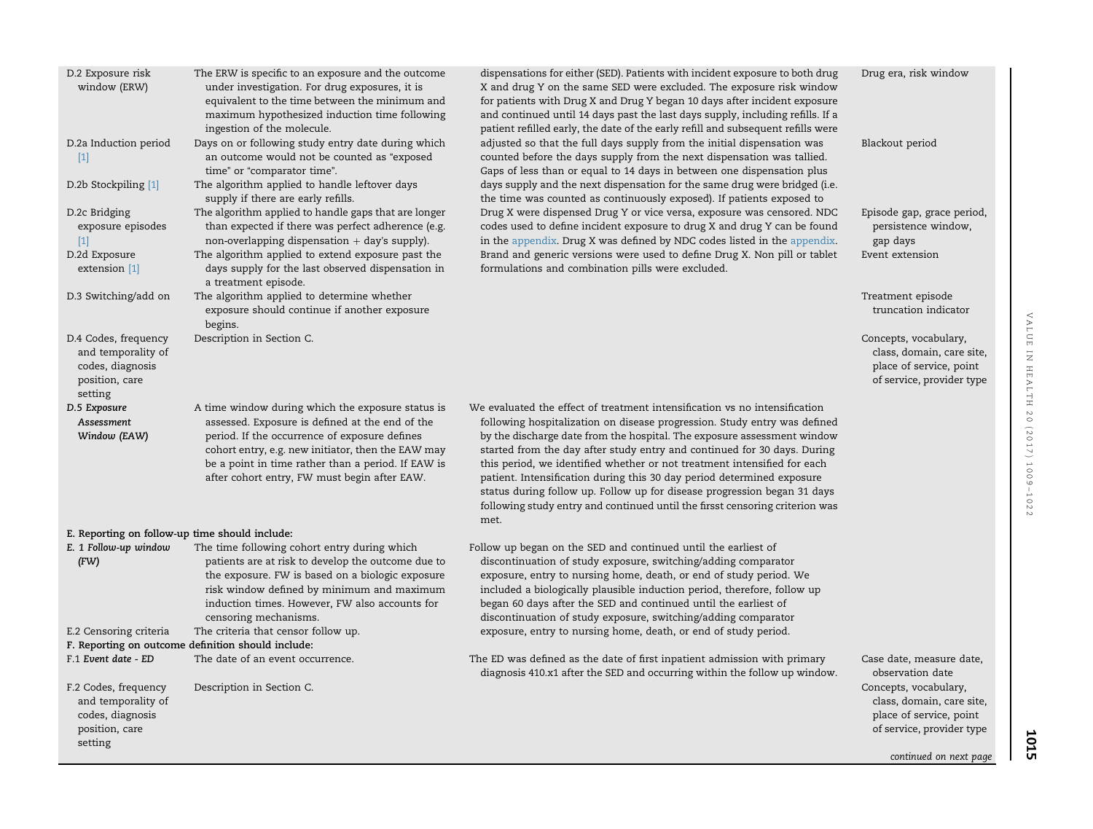| D.2 Exposure risk<br>window (ERW)                                                           | The ERW is specific to an exposure and the outcome<br>under investigation. For drug exposures, it is<br>equivalent to the time between the minimum and<br>maximum hypothesized induction time following<br>ingestion of the molecule.                                                                             | dispensations for either (SED). Patients with incident exposure to both drug<br>X and drug Y on the same SED were excluded. The exposure risk window<br>for patients with Drug X and Drug Y began 10 days after incident exposure<br>and continued until 14 days past the last days supply, including refills. If a<br>patient refilled early, the date of the early refill and subsequent refills were                                                                                                                                                                                                                                  | Drug era, risk window                                                                                      |
|---------------------------------------------------------------------------------------------|-------------------------------------------------------------------------------------------------------------------------------------------------------------------------------------------------------------------------------------------------------------------------------------------------------------------|------------------------------------------------------------------------------------------------------------------------------------------------------------------------------------------------------------------------------------------------------------------------------------------------------------------------------------------------------------------------------------------------------------------------------------------------------------------------------------------------------------------------------------------------------------------------------------------------------------------------------------------|------------------------------------------------------------------------------------------------------------|
| D.2a Induction period<br>$[1]$                                                              | Days on or following study entry date during which<br>an outcome would not be counted as "exposed<br>time" or "comparator time".                                                                                                                                                                                  | adjusted so that the full days supply from the initial dispensation was<br>counted before the days supply from the next dispensation was tallied.<br>Gaps of less than or equal to 14 days in between one dispensation plus                                                                                                                                                                                                                                                                                                                                                                                                              | Blackout period                                                                                            |
| D.2b Stockpiling [1]                                                                        | The algorithm applied to handle leftover days<br>supply if there are early refills.                                                                                                                                                                                                                               | days supply and the next dispensation for the same drug were bridged (i.e.<br>the time was counted as continuously exposed). If patients exposed to                                                                                                                                                                                                                                                                                                                                                                                                                                                                                      |                                                                                                            |
| D.2c Bridging<br>exposure episodes<br>$[1]$<br>D.2d Exposure                                | The algorithm applied to handle gaps that are longer<br>than expected if there was perfect adherence (e.g.<br>$non-overlapping$ dispensation $+$ day's supply).<br>The algorithm applied to extend exposure past the                                                                                              | Drug X were dispensed Drug Y or vice versa, exposure was censored. NDC<br>codes used to define incident exposure to drug X and drug Y can be found<br>in the appendix. Drug X was defined by NDC codes listed in the appendix.<br>Brand and generic versions were used to define Drug X. Non pill or tablet                                                                                                                                                                                                                                                                                                                              | Episode gap, grace period,<br>persistence window,<br>gap days<br>Event extension                           |
| extension [1]                                                                               | days supply for the last observed dispensation in<br>a treatment episode.                                                                                                                                                                                                                                         | formulations and combination pills were excluded.                                                                                                                                                                                                                                                                                                                                                                                                                                                                                                                                                                                        |                                                                                                            |
| D.3 Switching/add on                                                                        | The algorithm applied to determine whether<br>exposure should continue if another exposure<br>begins.                                                                                                                                                                                                             |                                                                                                                                                                                                                                                                                                                                                                                                                                                                                                                                                                                                                                          | Treatment episode<br>truncation indicator                                                                  |
| D.4 Codes, frequency<br>and temporality of<br>codes, diagnosis<br>position, care<br>setting | Description in Section C.                                                                                                                                                                                                                                                                                         |                                                                                                                                                                                                                                                                                                                                                                                                                                                                                                                                                                                                                                          | Concepts, vocabulary,<br>class, domain, care site,<br>place of service, point<br>of service, provider type |
| D.5 Exposure<br>Assessment<br>Window (EAW)                                                  | A time window during which the exposure status is<br>assessed. Exposure is defined at the end of the<br>period. If the occurrence of exposure defines<br>cohort entry, e.g. new initiator, then the EAW may<br>be a point in time rather than a period. If EAW is<br>after cohort entry, FW must begin after EAW. | We evaluated the effect of treatment intensification vs no intensification<br>following hospitalization on disease progression. Study entry was defined<br>by the discharge date from the hospital. The exposure assessment window<br>started from the day after study entry and continued for 30 days. During<br>this period, we identified whether or not treatment intensified for each<br>patient. Intensification during this 30 day period determined exposure<br>status during follow up. Follow up for disease progression began 31 days<br>following study entry and continued until the firsst censoring criterion was<br>met. |                                                                                                            |
| E. Reporting on follow-up time should include:                                              |                                                                                                                                                                                                                                                                                                                   |                                                                                                                                                                                                                                                                                                                                                                                                                                                                                                                                                                                                                                          |                                                                                                            |
| E. 1 Follow-up window<br>(FW)                                                               | The time following cohort entry during which<br>patients are at risk to develop the outcome due to<br>the exposure. FW is based on a biologic exposure<br>risk window defined by minimum and maximum<br>induction times. However, FW also accounts for<br>censoring mechanisms.                                   | Follow up began on the SED and continued until the earliest of<br>discontinuation of study exposure, switching/adding comparator<br>exposure, entry to nursing home, death, or end of study period. We<br>included a biologically plausible induction period, therefore, follow up<br>began 60 days after the SED and continued until the earliest of<br>discontinuation of study exposure, switching/adding comparator                                                                                                                                                                                                                  |                                                                                                            |
| E.2 Censoring criteria                                                                      | The criteria that censor follow up.                                                                                                                                                                                                                                                                               | exposure, entry to nursing home, death, or end of study period.                                                                                                                                                                                                                                                                                                                                                                                                                                                                                                                                                                          |                                                                                                            |
| F.1 Event date - ED                                                                         | F. Reporting on outcome definition should include:<br>The date of an event occurrence.                                                                                                                                                                                                                            | The ED was defined as the date of first inpatient admission with primary<br>diagnosis 410.x1 after the SED and occurring within the follow up window.                                                                                                                                                                                                                                                                                                                                                                                                                                                                                    | Case date, measure date,<br>observation date                                                               |
| F.2 Codes, frequency<br>and temporality of<br>codes, diagnosis<br>position, care<br>setting | Description in Section C.                                                                                                                                                                                                                                                                                         |                                                                                                                                                                                                                                                                                                                                                                                                                                                                                                                                                                                                                                          | Concepts, vocabulary,<br>class, domain, care site,<br>place of service, point<br>of service, provider type |
|                                                                                             |                                                                                                                                                                                                                                                                                                                   |                                                                                                                                                                                                                                                                                                                                                                                                                                                                                                                                                                                                                                          | continued on next page                                                                                     |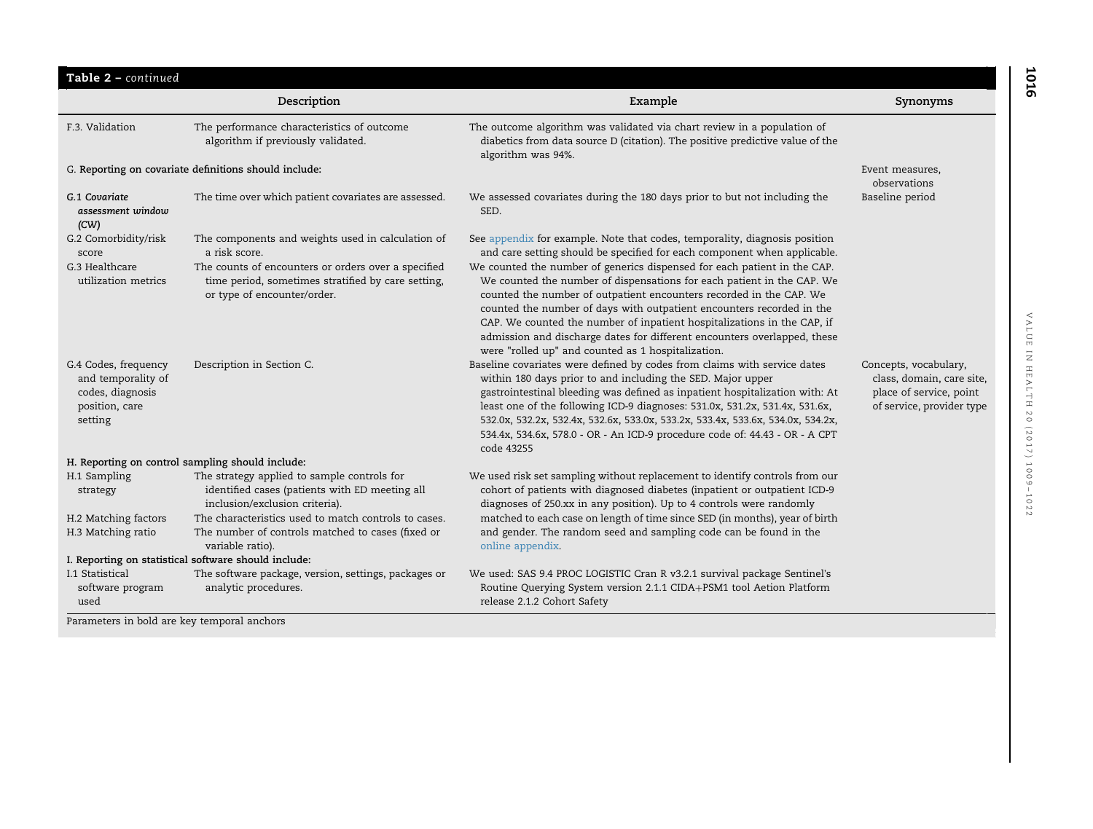| <b>Table 2 –</b> continued                                                                  |                                                                                                                                          |                                                                                                                                                                                                                                                                                                                                                                                                                                                                                                                 |                                                                                                            |
|---------------------------------------------------------------------------------------------|------------------------------------------------------------------------------------------------------------------------------------------|-----------------------------------------------------------------------------------------------------------------------------------------------------------------------------------------------------------------------------------------------------------------------------------------------------------------------------------------------------------------------------------------------------------------------------------------------------------------------------------------------------------------|------------------------------------------------------------------------------------------------------------|
|                                                                                             | Description                                                                                                                              | Example                                                                                                                                                                                                                                                                                                                                                                                                                                                                                                         | Synonyms                                                                                                   |
| F.3. Validation                                                                             | The performance characteristics of outcome<br>algorithm if previously validated.                                                         | The outcome algorithm was validated via chart review in a population of<br>diabetics from data source D (citation). The positive predictive value of the<br>algorithm was 94%.                                                                                                                                                                                                                                                                                                                                  |                                                                                                            |
|                                                                                             | G. Reporting on covariate definitions should include:                                                                                    |                                                                                                                                                                                                                                                                                                                                                                                                                                                                                                                 | Event measures,<br>observations                                                                            |
| G.1 Covariate<br>assessment window<br>(CW)                                                  | The time over which patient covariates are assessed.                                                                                     | We assessed covariates during the 180 days prior to but not including the<br>SED.                                                                                                                                                                                                                                                                                                                                                                                                                               | Baseline period                                                                                            |
| G.2 Comorbidity/risk<br>score                                                               | The components and weights used in calculation of<br>a risk score.                                                                       | See appendix for example. Note that codes, temporality, diagnosis position<br>and care setting should be specified for each component when applicable.                                                                                                                                                                                                                                                                                                                                                          |                                                                                                            |
| G.3 Healthcare<br>utilization metrics                                                       | The counts of encounters or orders over a specified<br>time period, sometimes stratified by care setting,<br>or type of encounter/order. | We counted the number of generics dispensed for each patient in the CAP.<br>We counted the number of dispensations for each patient in the CAP. We<br>counted the number of outpatient encounters recorded in the CAP. We<br>counted the number of days with outpatient encounters recorded in the<br>CAP. We counted the number of inpatient hospitalizations in the CAP, if<br>admission and discharge dates for different encounters overlapped, these<br>were "rolled up" and counted as 1 hospitalization. |                                                                                                            |
| G.4 Codes, frequency<br>and temporality of<br>codes, diagnosis<br>position, care<br>setting | Description in Section C.                                                                                                                | Baseline covariates were defined by codes from claims with service dates<br>within 180 days prior to and including the SED. Major upper<br>gastrointestinal bleeding was defined as inpatient hospitalization with: At<br>least one of the following ICD-9 diagnoses: 531.0x, 531.2x, 531.4x, 531.6x,<br>532.0x, 532.2x, 532.4x, 532.6x, 533.0x, 533.2x, 533.4x, 533.6x, 534.0x, 534.2x,<br>534.4x, 534.6x, 578.0 - OR - An ICD-9 procedure code of: 44.43 - OR - A CPT<br>code 43255                           | Concepts, vocabulary,<br>class, domain, care site,<br>place of service, point<br>of service, provider type |
|                                                                                             | H. Reporting on control sampling should include:                                                                                         |                                                                                                                                                                                                                                                                                                                                                                                                                                                                                                                 |                                                                                                            |
| H.1 Sampling<br>strategy                                                                    | The strategy applied to sample controls for<br>identified cases (patients with ED meeting all<br>inclusion/exclusion criteria).          | We used risk set sampling without replacement to identify controls from our<br>cohort of patients with diagnosed diabetes (inpatient or outpatient ICD-9<br>diagnoses of 250.xx in any position). Up to 4 controls were randomly                                                                                                                                                                                                                                                                                |                                                                                                            |
| H.2 Matching factors<br>H.3 Matching ratio                                                  | The characteristics used to match controls to cases.<br>The number of controls matched to cases (fixed or<br>variable ratio).            | matched to each case on length of time since SED (in months), year of birth<br>and gender. The random seed and sampling code can be found in the<br>online appendix.                                                                                                                                                                                                                                                                                                                                            |                                                                                                            |
| I.1 Statistical                                                                             | I. Reporting on statistical software should include:<br>The software package, version, settings, packages or                             | We used: SAS 9.4 PROC LOGISTIC Cran R v3.2.1 survival package Sentinel's                                                                                                                                                                                                                                                                                                                                                                                                                                        |                                                                                                            |
| software program<br>used                                                                    | analytic procedures.                                                                                                                     | Routine Querying System version 2.1.1 CIDA+PSM1 tool Aetion Platform<br>release 2.1.2 Cohort Safety                                                                                                                                                                                                                                                                                                                                                                                                             |                                                                                                            |
| Parameters in hold are key temperal anchors                                                 |                                                                                                                                          |                                                                                                                                                                                                                                                                                                                                                                                                                                                                                                                 |                                                                                                            |

Parameters in bold are key temporal anchors

VALUE IN HEALTH 20 (2017) 1009 VALUE IN HEALTH 20 (2017) 1009-1022 1016 1020-1022 1020-1022 1020-1022

1016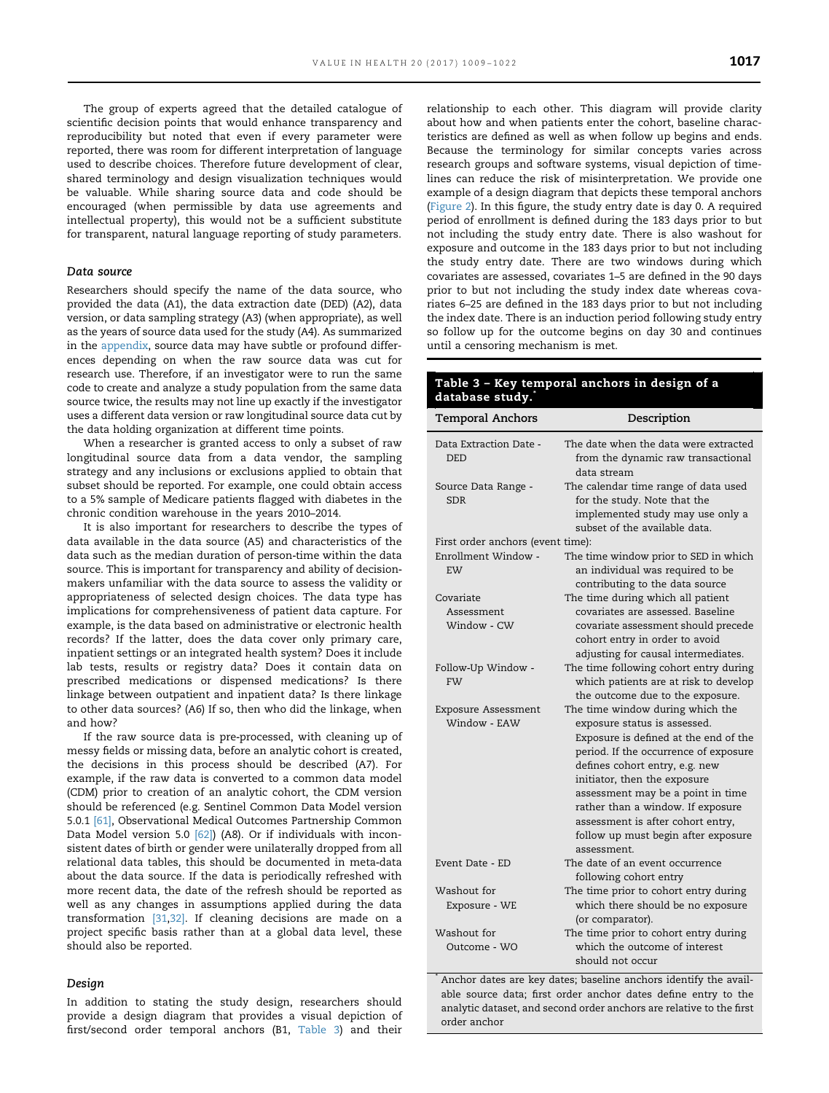The group of experts agreed that the detailed catalogue of scientific decision points that would enhance transparency and reproducibility but noted that even if every parameter were reported, there was room for different interpretation of language used to describe choices. Therefore future development of clear, shared terminology and design visualization techniques would be valuable. While sharing source data and code should be encouraged (when permissible by data use agreements and intellectual property), this would not be a sufficient substitute for transparent, natural language reporting of study parameters.

#### Data source

Researchers should specify the name of the data source, who provided the data (A1), the data extraction date (DED) (A2), data version, or data sampling strategy (A3) (when appropriate), as well as the years of source data used for the study (A4). As summarized in the appendix, source data may have subtle or profound differences depending on when the raw source data was cut for research use. Therefore, if an investigator were to run the same code to create and analyze a study population from the same data source twice, the results may not line up exactly if the investigator uses a different data version or raw longitudinal source data cut by the data holding organization at different time points.

When a researcher is granted access to only a subset of raw longitudinal source data from a data vendor, the sampling strategy and any inclusions or exclusions applied to obtain that subset should be reported. For example, one could obtain access to a 5% sample of Medicare patients flagged with diabetes in the chronic condition warehouse in the years 2010–2014.

It is also important for researchers to describe the types of data available in the data source (A5) and characteristics of the data such as the median duration of person‐time within the data source. This is important for transparency and ability of decisionmakers unfamiliar with the data source to assess the validity or appropriateness of selected design choices. The data type has implications for comprehensiveness of patient data capture. For example, is the data based on administrative or electronic health records? If the latter, does the data cover only primary care, inpatient settings or an integrated health system? Does it include lab tests, results or registry data? Does it contain data on prescribed medications or dispensed medications? Is there linkage between outpatient and inpatient data? Is there linkage to other data sources? (A6) If so, then who did the linkage, when and how?

If the raw source data is pre‐processed, with cleaning up of messy fields or missing data, before an analytic cohort is created, the decisions in this process should be described (A7). For example, if the raw data is converted to a common data model (CDM) prior to creation of an analytic cohort, the CDM version should be referenced (e.g. Sentinel Common Data Model version 5.0.1 [61], Observational Medical Outcomes Partnership Common Data Model version 5.0 [62]) (A8). Or if individuals with inconsistent dates of birth or gender were unilaterally dropped from all relational data tables, this should be documented in meta‐data about the data source. If the data is periodically refreshed with more recent data, the date of the refresh should be reported as well as any changes in assumptions applied during the data transformation [31,32]. If cleaning decisions are made on a project specific basis rather than at a global data level, these should also be reported.

## Design

In addition to stating the study design, researchers should provide a design diagram that provides a visual depiction of first/second order temporal anchors (B1, Table 3) and their

relationship to each other. This diagram will provide clarity about how and when patients enter the cohort, baseline characteristics are defined as well as when follow up begins and ends. Because the terminology for similar concepts varies across research groups and software systems, visual depiction of timelines can reduce the risk of misinterpretation. We provide one example of a design diagram that depicts these temporal anchors (Figure 2). In this figure, the study entry date is day 0. A required period of enrollment is defined during the 183 days prior to but not including the study entry date. There is also washout for exposure and outcome in the 183 days prior to but not including the study entry date. There are two windows during which covariates are assessed, covariates 1–5 are defined in the 90 days prior to but not including the study index date whereas covariates 6–25 are defined in the 183 days prior to but not including the index date. There is an induction period following study entry so follow up for the outcome begins on day 30 and continues until a censoring mechanism is met.

#### Table 3 – Key temporal anchors in design of a database study.

| <b>Temporal Anchors</b>                | Description                                                                                                                                                                                                                                                                                                                                                                               |
|----------------------------------------|-------------------------------------------------------------------------------------------------------------------------------------------------------------------------------------------------------------------------------------------------------------------------------------------------------------------------------------------------------------------------------------------|
| Data Extraction Date -<br><b>DED</b>   | The date when the data were extracted<br>from the dynamic raw transactional<br>data stream                                                                                                                                                                                                                                                                                                |
| Source Data Range -<br><b>SDR</b>      | The calendar time range of data used<br>for the study. Note that the<br>implemented study may use only a<br>subset of the available data.                                                                                                                                                                                                                                                 |
| First order anchors (event time):      |                                                                                                                                                                                                                                                                                                                                                                                           |
| Enrollment Window -<br><b>EW</b>       | The time window prior to SED in which<br>an individual was required to be<br>contributing to the data source                                                                                                                                                                                                                                                                              |
| Covariate<br>Assessment<br>Window - CW | The time during which all patient<br>covariates are assessed. Baseline<br>covariate assessment should precede<br>cohort entry in order to avoid<br>adjusting for causal intermediates.                                                                                                                                                                                                    |
| Follow-Up Window -<br><b>FW</b>        | The time following cohort entry during<br>which patients are at risk to develop<br>the outcome due to the exposure.                                                                                                                                                                                                                                                                       |
| Exposure Assessment<br>Window - EAW    | The time window during which the<br>exposure status is assessed.<br>Exposure is defined at the end of the<br>period. If the occurrence of exposure<br>defines cohort entry, e.g. new<br>initiator, then the exposure<br>assessment may be a point in time<br>rather than a window. If exposure<br>assessment is after cohort entry,<br>follow up must begin after exposure<br>assessment. |
| Event Date - ED                        | The date of an event occurrence<br>following cohort entry                                                                                                                                                                                                                                                                                                                                 |
| Washout for                            | The time prior to cohort entry during                                                                                                                                                                                                                                                                                                                                                     |
| Exposure - WE                          | which there should be no exposure<br>(or comparator).                                                                                                                                                                                                                                                                                                                                     |
| Washout for                            | The time prior to cohort entry during                                                                                                                                                                                                                                                                                                                                                     |
| Outcome - WO                           | which the outcome of interest<br>should not occur                                                                                                                                                                                                                                                                                                                                         |

Anchor dates are key dates; baseline anchors identify the available source data; first order anchor dates define entry to the analytic dataset, and second order anchors are relative to the first order anchor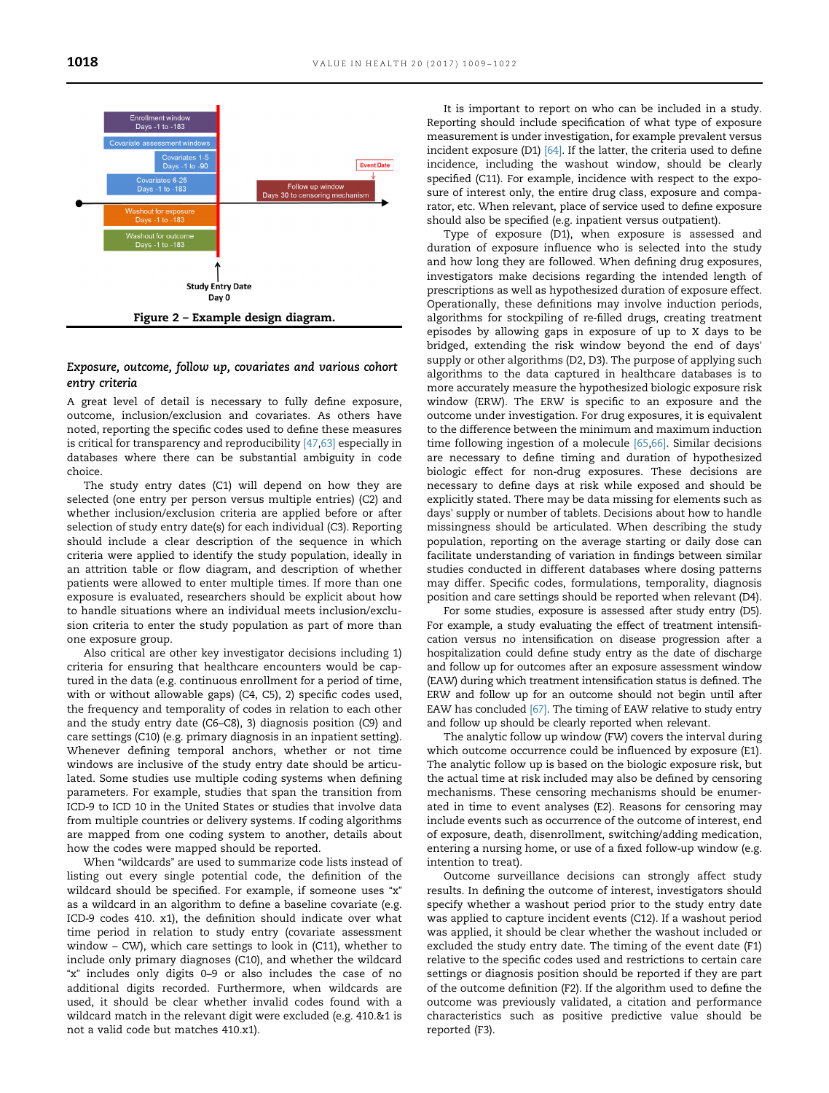

## Exposure, outcome, follow up, covariates and various cohort entry criteria

A great level of detail is necessary to fully define exposure, outcome, inclusion/exclusion and covariates. As others have noted, reporting the specific codes used to define these measures is critical for transparency and reproducibility [47,63] especially in databases where there can be substantial ambiguity in code choice.

The study entry dates (C1) will depend on how they are selected (one entry per person versus multiple entries) (C2) and whether inclusion/exclusion criteria are applied before or after selection of study entry date(s) for each individual (C3). Reporting should include a clear description of the sequence in which criteria were applied to identify the study population, ideally in an attrition table or flow diagram, and description of whether patients were allowed to enter multiple times. If more than one exposure is evaluated, researchers should be explicit about how to handle situations where an individual meets inclusion/exclusion criteria to enter the study population as part of more than one exposure group.

Also critical are other key investigator decisions including 1) criteria for ensuring that healthcare encounters would be captured in the data (e.g. continuous enrollment for a period of time, with or without allowable gaps) (C4, C5), 2) specific codes used, the frequency and temporality of codes in relation to each other and the study entry date (C6–C8), 3) diagnosis position (C9) and care settings (C10) (e.g. primary diagnosis in an inpatient setting). Whenever defining temporal anchors, whether or not time windows are inclusive of the study entry date should be articulated. Some studies use multiple coding systems when defining parameters. For example, studies that span the transition from ICD‐9 to ICD 10 in the United States or studies that involve data from multiple countries or delivery systems. If coding algorithms are mapped from one coding system to another, details about how the codes were mapped should be reported.

When "wildcards" are used to summarize code lists instead of listing out every single potential code, the definition of the wildcard should be specified. For example, if someone uses "x" as a wildcard in an algorithm to define a baseline covariate (e.g. ICD‐9 codes 410. x1), the definition should indicate over what time period in relation to study entry (covariate assessment window – CW), which care settings to look in (C11), whether to include only primary diagnoses (C10), and whether the wildcard "x" includes only digits 0–9 or also includes the case of no additional digits recorded. Furthermore, when wildcards are used, it should be clear whether invalid codes found with a wildcard match in the relevant digit were excluded (e.g. 410.&1 is not a valid code but matches 410.x1).

It is important to report on who can be included in a study. Reporting should include specification of what type of exposure measurement is under investigation, for example prevalent versus incident exposure (D1) [64]. If the latter, the criteria used to define incidence, including the washout window, should be clearly specified (C11). For example, incidence with respect to the exposure of interest only, the entire drug class, exposure and comparator, etc. When relevant, place of service used to define exposure should also be specified (e.g. inpatient versus outpatient).

Type of exposure (D1), when exposure is assessed and duration of exposure influence who is selected into the study and how long they are followed. When defining drug exposures, investigators make decisions regarding the intended length of prescriptions as well as hypothesized duration of exposure effect. Operationally, these definitions may involve induction periods, algorithms for stockpiling of re-filled drugs, creating treatment episodes by allowing gaps in exposure of up to X days to be bridged, extending the risk window beyond the end of days' supply or other algorithms (D2, D3). The purpose of applying such algorithms to the data captured in healthcare databases is to more accurately measure the hypothesized biologic exposure risk window (ERW). The ERW is specific to an exposure and the outcome under investigation. For drug exposures, it is equivalent to the difference between the minimum and maximum induction time following ingestion of a molecule [65,66]. Similar decisions are necessary to define timing and duration of hypothesized biologic effect for non-drug exposures. These decisions are necessary to define days at risk while exposed and should be explicitly stated. There may be data missing for elements such as days' supply or number of tablets. Decisions about how to handle missingness should be articulated. When describing the study population, reporting on the average starting or daily dose can facilitate understanding of variation in findings between similar studies conducted in different databases where dosing patterns may differ. Specific codes, formulations, temporality, diagnosis position and care settings should be reported when relevant (D4).

For some studies, exposure is assessed after study entry (D5). For example, a study evaluating the effect of treatment intensification versus no intensification on disease progression after a hospitalization could define study entry as the date of discharge and follow up for outcomes after an exposure assessment window (EAW) during which treatment intensification status is defined. The ERW and follow up for an outcome should not begin until after EAW has concluded [67]. The timing of EAW relative to study entry and follow up should be clearly reported when relevant.

The analytic follow up window (FW) covers the interval during which outcome occurrence could be influenced by exposure (E1). The analytic follow up is based on the biologic exposure risk, but the actual time at risk included may also be defined by censoring mechanisms. These censoring mechanisms should be enumerated in time to event analyses (E2). Reasons for censoring may include events such as occurrence of the outcome of interest, end of exposure, death, disenrollment, switching/adding medication, entering a nursing home, or use of a fixed follow‐up window (e.g. intention to treat).

Outcome surveillance decisions can strongly affect study results. In defining the outcome of interest, investigators should specify whether a washout period prior to the study entry date was applied to capture incident events (C12). If a washout period was applied, it should be clear whether the washout included or excluded the study entry date. The timing of the event date (F1) relative to the specific codes used and restrictions to certain care settings or diagnosis position should be reported if they are part of the outcome definition (F2). If the algorithm used to define the outcome was previously validated, a citation and performance characteristics such as positive predictive value should be reported (F3).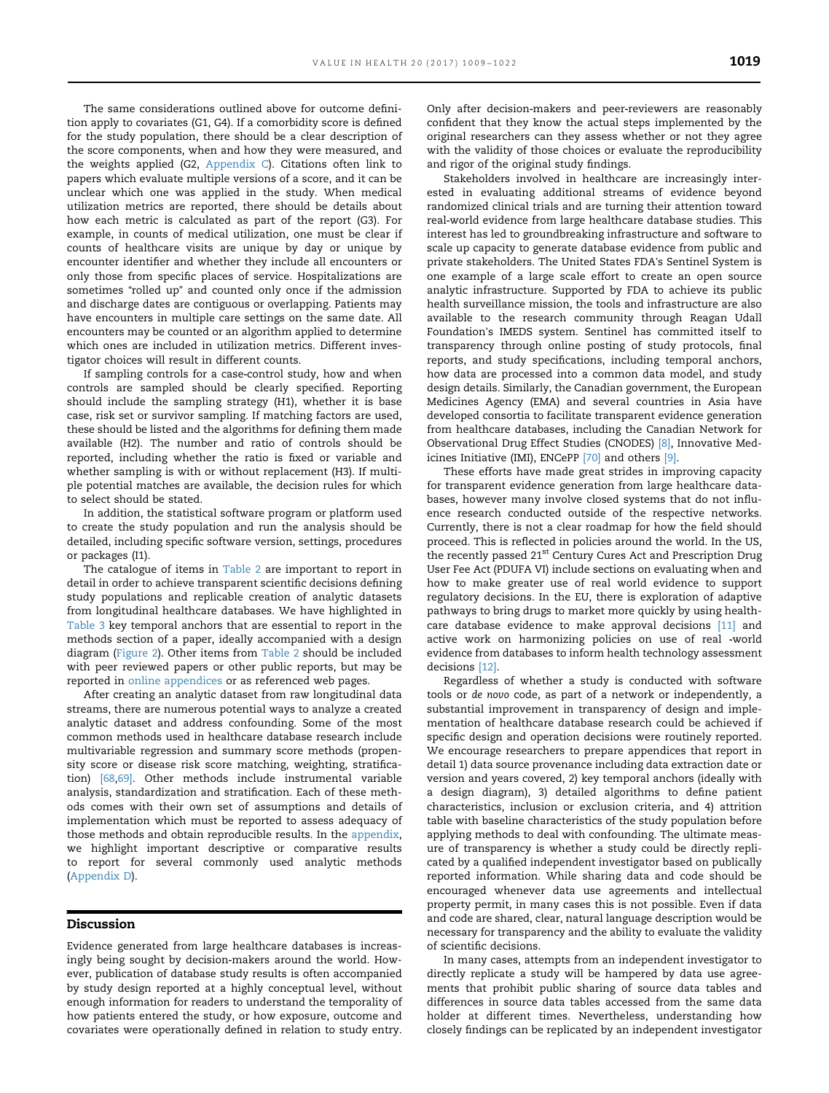The same considerations outlined above for outcome definition apply to covariates (G1, G4). If a comorbidity score is defined for the study population, there should be a clear description of the score components, when and how they were measured, and the weights applied (G2, Appendix C). Citations often link to papers which evaluate multiple versions of a score, and it can be unclear which one was applied in the study. When medical utilization metrics are reported, there should be details about how each metric is calculated as part of the report (G3). For example, in counts of medical utilization, one must be clear if counts of healthcare visits are unique by day or unique by encounter identifier and whether they include all encounters or only those from specific places of service. Hospitalizations are sometimes "rolled up" and counted only once if the admission and discharge dates are contiguous or overlapping. Patients may have encounters in multiple care settings on the same date. All encounters may be counted or an algorithm applied to determine which ones are included in utilization metrics. Different investigator choices will result in different counts.

If sampling controls for a case-control study, how and when controls are sampled should be clearly specified. Reporting should include the sampling strategy (H1), whether it is base case, risk set or survivor sampling. If matching factors are used, these should be listed and the algorithms for defining them made available (H2). The number and ratio of controls should be reported, including whether the ratio is fixed or variable and whether sampling is with or without replacement (H3). If multiple potential matches are available, the decision rules for which to select should be stated.

In addition, the statistical software program or platform used to create the study population and run the analysis should be detailed, including specific software version, settings, procedures or packages (I1).

The catalogue of items in Table 2 are important to report in detail in order to achieve transparent scientific decisions defining study populations and replicable creation of analytic datasets from longitudinal healthcare databases. We have highlighted in Table 3 key temporal anchors that are essential to report in the methods section of a paper, ideally accompanied with a design diagram (Figure 2). Other items from Table 2 should be included with peer reviewed papers or other public reports, but may be reported in online appendices or as referenced web pages.

After creating an analytic dataset from raw longitudinal data streams, there are numerous potential ways to analyze a created analytic dataset and address confounding. Some of the most common methods used in healthcare database research include multivariable regression and summary score methods (propensity score or disease risk score matching, weighting, stratification) [68,69]. Other methods include instrumental variable analysis, standardization and stratification. Each of these methods comes with their own set of assumptions and details of implementation which must be reported to assess adequacy of those methods and obtain reproducible results. In the appendix, we highlight important descriptive or comparative results to report for several commonly used analytic methods (Appendix D).

#### Discussion

Evidence generated from large healthcare databases is increasingly being sought by decision‐makers around the world. However, publication of database study results is often accompanied by study design reported at a highly conceptual level, without enough information for readers to understand the temporality of how patients entered the study, or how exposure, outcome and covariates were operationally defined in relation to study entry.

Only after decision‐makers and peer‐reviewers are reasonably confident that they know the actual steps implemented by the original researchers can they assess whether or not they agree with the validity of those choices or evaluate the reproducibility and rigor of the original study findings.

Stakeholders involved in healthcare are increasingly interested in evaluating additional streams of evidence beyond randomized clinical trials and are turning their attention toward real‐world evidence from large healthcare database studies. This interest has led to groundbreaking infrastructure and software to scale up capacity to generate database evidence from public and private stakeholders. The United States FDA's Sentinel System is one example of a large scale effort to create an open source analytic infrastructure. Supported by FDA to achieve its public health surveillance mission, the tools and infrastructure are also available to the research community through Reagan Udall Foundation's IMEDS system. Sentinel has committed itself to transparency through online posting of study protocols, final reports, and study specifications, including temporal anchors, how data are processed into a common data model, and study design details. Similarly, the Canadian government, the European Medicines Agency (EMA) and several countries in Asia have developed consortia to facilitate transparent evidence generation from healthcare databases, including the Canadian Network for Observational Drug Effect Studies (CNODES) [8], Innovative Medicines Initiative (IMI), ENCePP [70] and others [9].

These efforts have made great strides in improving capacity for transparent evidence generation from large healthcare databases, however many involve closed systems that do not influence research conducted outside of the respective networks. Currently, there is not a clear roadmap for how the field should proceed. This is reflected in policies around the world. In the US, the recently passed 21<sup>st</sup> Century Cures Act and Prescription Drug User Fee Act (PDUFA VI) include sections on evaluating when and how to make greater use of real world evidence to support regulatory decisions. In the EU, there is exploration of adaptive pathways to bring drugs to market more quickly by using healthcare database evidence to make approval decisions [11] and active work on harmonizing policies on use of real ‐world evidence from databases to inform health technology assessment decisions [12].

Regardless of whether a study is conducted with software tools or de novo code, as part of a network or independently, a substantial improvement in transparency of design and implementation of healthcare database research could be achieved if specific design and operation decisions were routinely reported. We encourage researchers to prepare appendices that report in detail 1) data source provenance including data extraction date or version and years covered, 2) key temporal anchors (ideally with a design diagram), 3) detailed algorithms to define patient characteristics, inclusion or exclusion criteria, and 4) attrition table with baseline characteristics of the study population before applying methods to deal with confounding. The ultimate measure of transparency is whether a study could be directly replicated by a qualified independent investigator based on publically reported information. While sharing data and code should be encouraged whenever data use agreements and intellectual property permit, in many cases this is not possible. Even if data and code are shared, clear, natural language description would be necessary for transparency and the ability to evaluate the validity of scientific decisions.

In many cases, attempts from an independent investigator to directly replicate a study will be hampered by data use agreements that prohibit public sharing of source data tables and differences in source data tables accessed from the same data holder at different times. Nevertheless, understanding how closely findings can be replicated by an independent investigator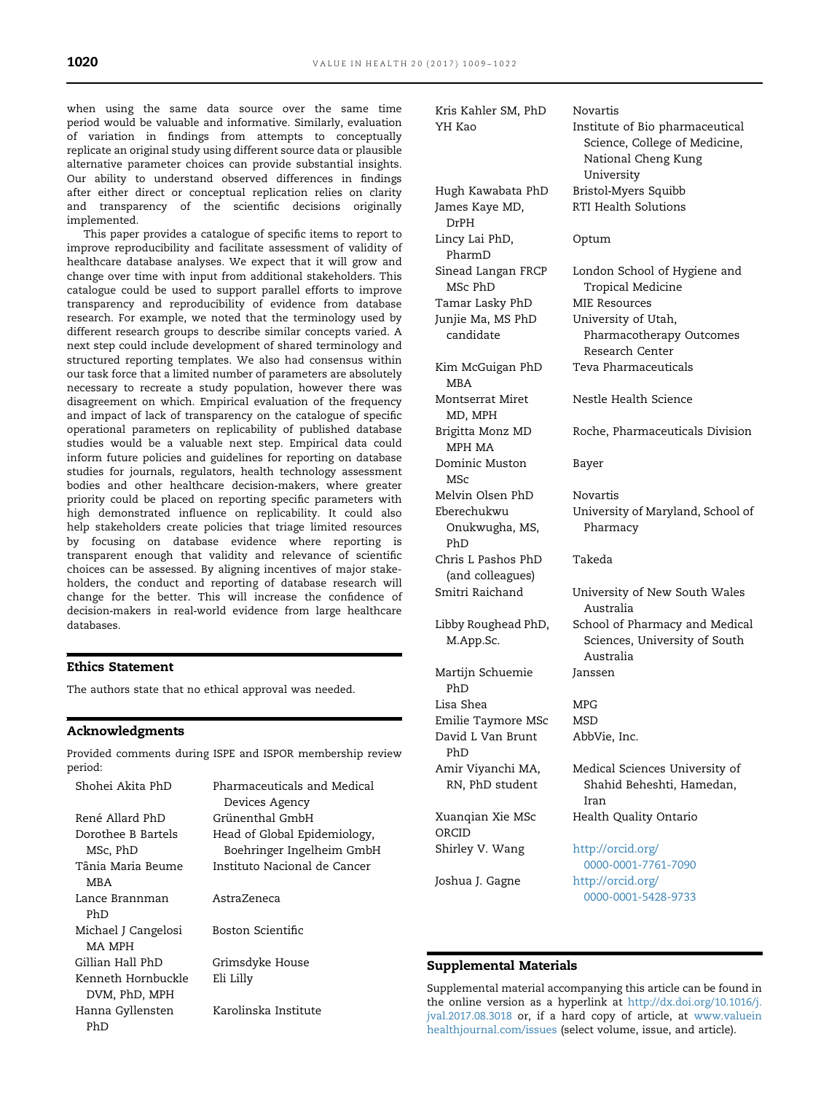when using the same data source over the same time period would be valuable and informative. Similarly, evaluation of variation in findings from attempts to conceptually replicate an original study using different source data or plausible alternative parameter choices can provide substantial insights. Our ability to understand observed differences in findings after either direct or conceptual replication relies on clarity and transparency of the scientific decisions originally implemented.

.<br>This paper provides a catalogue of specific items to report to improve reproducibility and facilitate assessment of validity of healthcare database analyses. We expect that it will grow and change over time with input from additional stakeholders. This catalogue could be used to support parallel efforts to improve transparency and reproducibility of evidence from database research. For example, we noted that the terminology used by different research groups to describe similar concepts varied. A next step could include development of shared terminology and structured reporting templates. We also had consensus within our task force that a limited number of parameters are absolutely necessary to recreate a study population, however there was disagreement on which. Empirical evaluation of the frequency and impact of lack of transparency on the catalogue of specific operational parameters on replicability of published database studies would be a valuable next step. Empirical data could inform future policies and guidelines for reporting on database studies for journals, regulators, health technology assessment bodies and other healthcare decision‐makers, where greater priority could be placed on reporting specific parameters with high demonstrated influence on replicability. It could also help stakeholders create policies that triage limited resources by focusing on database evidence where reporting is transparent enough that validity and relevance of scientific choices can be assessed. By aligning incentives of major stakeholders, the conduct and reporting of database research will change for the better. This will increase the confidence of decision‐makers in real‐world evidence from large healthcare databases.

## Ethics Statement

The authors state that no ethical approval was needed.

#### Acknowledgments

Provided comments during ISPE and ISPOR membership review period:

| Shohei Akita PhD    | Pharmaceuticals and Medical  |
|---------------------|------------------------------|
|                     | Devices Agency               |
| René Allard PhD     | Grünenthal GmbH              |
| Dorothee B Bartels  | Head of Global Epidemiology, |
| MSc, PhD            | Boehringer Ingelheim GmbH    |
| Tânia Maria Beume   | Instituto Nacional de Cancer |
| MBA                 |                              |
| Lance Brannman      | AstraZeneca                  |
| PhD                 |                              |
| Michael J Cangelosi | Boston Scientific            |
| MA MPH              |                              |
| Gillian Hall PhD    | Grimsdyke House              |
| Kenneth Hornbuckle  | Eli Lilly                    |
| DVM, PhD, MPH       |                              |
| Hanna Gyllensten    | Karolinska Institute         |
| PhD                 |                              |

| Kris Kahler SM, PhD<br>YH Kao                      | Novartis<br>Institute of Bio pharmaceutical                                  |
|----------------------------------------------------|------------------------------------------------------------------------------|
|                                                    | Science, College of Medicine,<br>National Cheng Kung                         |
|                                                    | University                                                                   |
| Hugh Kawabata PhD<br>James Kaye MD,<br><b>DrPH</b> | Bristol-Myers Squibb<br>RTI Health Solutions                                 |
| Lincy Lai PhD,<br>PharmD                           | Optum                                                                        |
| Sinead Langan FRCP<br>MSc PhD                      | London School of Hygiene and<br>Tropical Medicine                            |
| Tamar Lasky PhD                                    | <b>MIE Resources</b>                                                         |
| Junjie Ma, MS PhD                                  | University of Utah,                                                          |
| candidate                                          | Pharmacotherapy Outcomes                                                     |
|                                                    | Research Center                                                              |
| Kim McGuigan PhD<br><b>MBA</b>                     | Teva Pharmaceuticals                                                         |
| Montserrat Miret<br>MD, MPH                        | Nestle Health Science                                                        |
| Brigitta Monz MD<br>MPH MA                         | Roche, Pharmaceuticals Division                                              |
| Dominic Muston<br>MSc                              | Bayer                                                                        |
| Melvin Olsen PhD                                   | Novartis                                                                     |
| Eberechukwu                                        | University of Maryland, School of                                            |
| Onukwugha, MS,<br>PhD                              | Pharmacy                                                                     |
| Chris L Pashos PhD<br>(and colleagues)             | Takeda                                                                       |
| Smitri Raichand                                    | University of New South Wales<br>Australia                                   |
| Libby Roughead PhD,<br>M.App.Sc.                   | School of Pharmacy and Medical<br>Sciences, University of South<br>Australia |
| Martijn Schuemie<br>PhD                            | Janssen                                                                      |
| Lisa Shea                                          | MPG                                                                          |
| Emilie Taymore MSc                                 | MSD                                                                          |
| David L Van Brunt<br>PhD                           | AbbVie, Inc.                                                                 |
| Amir Viyanchi MA,                                  | Medical Sciences University of                                               |
| RN, PhD student                                    | Shahid Beheshti, Hamedan,<br>Iran                                            |
| Xuanqian Xie MSc<br>ORCID                          | Health Quality Ontario                                                       |
| Shirley V. Wang                                    | http://orcid.org/                                                            |
|                                                    | 0000-0001-7761-7090                                                          |
| Joshua J. Gagne                                    | http://orcid.org/<br>0000-0001-5428-9733                                     |
|                                                    |                                                                              |

## Supplemental Materials

Supplemental material accompanying this article can be found in the online version as a hyperlink at [http://dx.doi.org/10.1016/j.](http://dx.doi.org/10.1016/j.jval.2017.08.3018) [jval.2017.08.3018](http://dx.doi.org/10.1016/j.jval.2017.08.3018) or, if a hard copy of article, at [www.valuein](http://www.valueinhealthjournal.com/issues) [healthjournal.com/issues](http://www.valueinhealthjournal.com/issues) (select volume, issue, and article).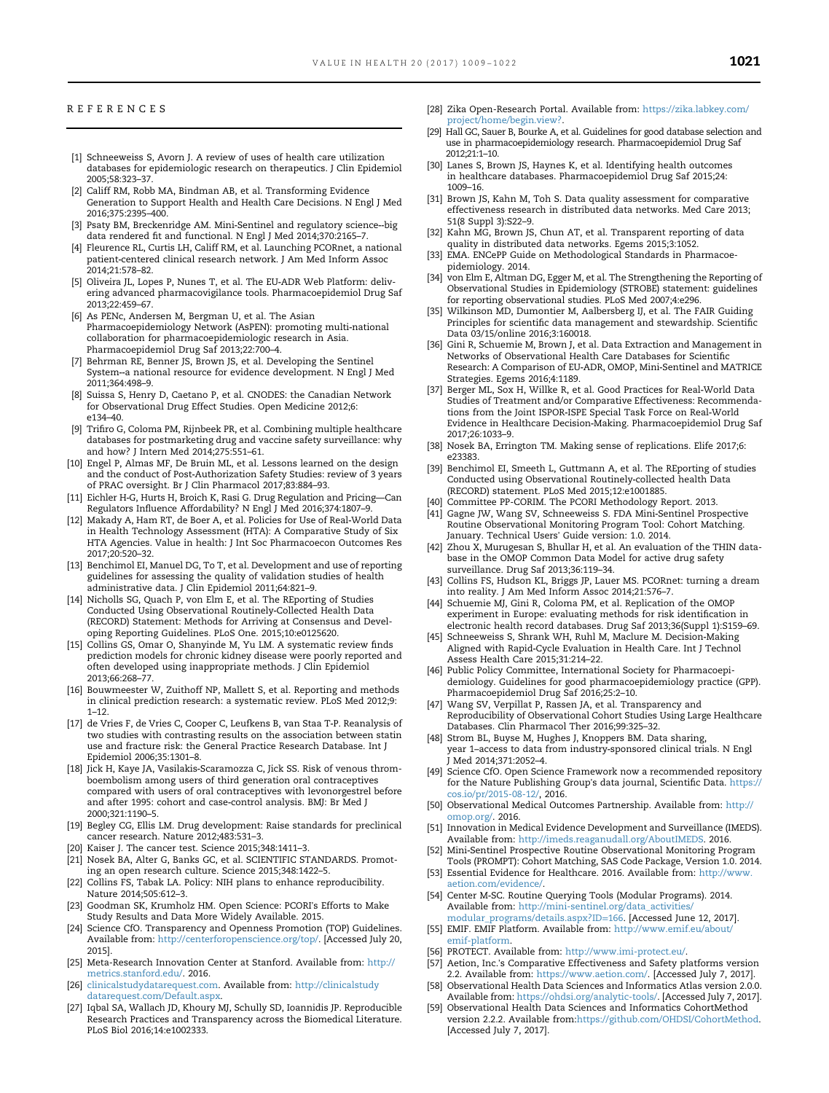#### REFERENCES

- [1] Schneeweiss S, Avorn J. A review of uses of health care utilization databases for epidemiologic research on therapeutics. J Clin Epidemiol 2005;58:323–37.
- [2] Califf RM, Robb MA, Bindman AB, et al. Transforming Evidence Generation to Support Health and Health Care Decisions. N Engl J Med 2016;375:2395–400.
- [3] Psaty BM, Breckenridge AM. Mini‐Sentinel and regulatory science‐‐big data rendered fit and functional. N Engl J Med 2014;370:2165–7.
- [4] Fleurence RL, Curtis LH, Califf RM, et al. Launching PCORnet, a national patient‐centered clinical research network. J Am Med Inform Assoc 2014;21:578–82.
- [5] Oliveira JL, Lopes P, Nunes T, et al. The EU‐ADR Web Platform: delivering advanced pharmacovigilance tools. Pharmacoepidemiol Drug Saf 2013;22:459–67.
- [6] As PENc, Andersen M, Bergman U, et al. The Asian Pharmacoepidemiology Network (AsPEN): promoting multi‐national collaboration for pharmacoepidemiologic research in Asia. Pharmacoepidemiol Drug Saf 2013;22:700–4.
- [7] Behrman RE, Benner JS, Brown JS, et al. Developing the Sentinel System‐‐a national resource for evidence development. N Engl J Med 2011;364:498–9.
- [8] Suissa S, Henry D, Caetano P, et al. CNODES: the Canadian Network for Observational Drug Effect Studies. Open Medicine 2012;6: e134–40.
- [9] Trifiro G, Coloma PM, Rijnbeek PR, et al. Combining multiple healthcare databases for postmarketing drug and vaccine safety surveillance: why and how? J Intern Med 2014;275:551–61.
- [10] Engel P, Almas MF, De Bruin ML, et al. Lessons learned on the design and the conduct of Post-Authorization Safety Studies: review of 3 years of PRAC oversight. Br J Clin Pharmacol 2017;83:884–93.
- [11] Eichler H‐G, Hurts H, Broich K, Rasi G. Drug Regulation and Pricing—Can Regulators Influence Affordability? N Engl J Med 2016;374:1807–9.
- [12] Makady A, Ham RT, de Boer A, et al. Policies for Use of Real‐World Data in Health Technology Assessment (HTA): A Comparative Study of Six HTA Agencies. Value in health: J Int Soc Pharmacoecon Outcomes Res 2017;20:520–32.
- [13] Benchimol EI, Manuel DG, To T, et al. Development and use of reporting guidelines for assessing the quality of validation studies of health administrative data. J Clin Epidemiol 2011;64:821–9.
- [14] Nicholls SG, Quach P, von Elm E, et al. The REporting of Studies Conducted Using Observational Routinely‐Collected Health Data (RECORD) Statement: Methods for Arriving at Consensus and Developing Reporting Guidelines. PLoS One. 2015;10:e0125620.
- [15] Collins GS, Omar O, Shanyinde M, Yu LM. A systematic review finds prediction models for chronic kidney disease were poorly reported and often developed using inappropriate methods. J Clin Epidemiol 2013;66:268–77.
- [16] Bouwmeester W, Zuithoff NP, Mallett S, et al. Reporting and methods in clinical prediction research: a systematic review. PLoS Med 2012;9: 1–12.
- [17] de Vries F, de Vries C, Cooper C, Leufkens B, van Staa T-P. Reanalysis of two studies with contrasting results on the association between statin use and fracture risk: the General Practice Research Database. Int J Epidemiol 2006;35:1301–8.
- [18] Jick H, Kaye JA, Vasilakis-Scaramozza C, Jick SS. Risk of venous thromboembolism among users of third generation oral contraceptives compared with users of oral contraceptives with levonorgestrel before and after 1995: cohort and case‐control analysis. BMJ: Br Med J 2000;321:1190–5.
- [19] Begley CG, Ellis LM. Drug development: Raise standards for preclinical cancer research. Nature 2012;483:531–3.
- [20] Kaiser J. The cancer test. Science 2015;348:1411–3.
- Nosek BA, Alter G, Banks GC, et al. SCIENTIFIC STANDARDS. Promoting an open research culture. Science 2015;348:1422–5.
- [22] Collins FS, Tabak LA. Policy: NIH plans to enhance reproducibility. Nature 2014;505:612–3.
- [23] Goodman SK, Krumholz HM. Open Science: PCORI's Efforts to Make Study Results and Data More Widely Available. 2015.
- [24] Science CfO. Transparency and Openness Promotion (TOP) Guidelines. Available from: [http://centerforopenscience.org/top/](http://www.centerforopenscience.org/top/). [Accessed July 20, 2015].
- [25] Meta-Research Innovation Center at Stanford. Available from: [http://](http://www.metrics.stanford.edu/) [metrics.stanford.edu/.](http://www.metrics.stanford.edu/) 2016.
- [26] [clinicalstudydatarequest.com](http://clinicalstudydatarequest.com). Available from: [http://clinicalstudy](http://www.clinicalstudydatarequest.com/Default.aspx) [datarequest.com/Default.aspx.](http://www.clinicalstudydatarequest.com/Default.aspx)
- [27] Iqbal SA, Wallach JD, Khoury MJ, Schully SD, Ioannidis JP. Reproducible Research Practices and Transparency across the Biomedical Literature. PLoS Biol 2016;14:e1002333.
- [28] Zika Open-Research Portal. Available from: [https://zika.labkey.com/](https://zika.labkey.com/project/home/begin.view?) [project/home/begin.view?.](https://zika.labkey.com/project/home/begin.view?)
- [29] Hall GC, Sauer B, Bourke A, et al. Guidelines for good database selection and use in pharmacoepidemiology research. Pharmacoepidemiol Drug Saf 2012;21:1–10.
- [30] Lanes S, Brown JS, Haynes K, et al. Identifying health outcomes in healthcare databases. Pharmacoepidemiol Drug Saf 2015;24: 1009–16.
- [31] Brown JS, Kahn M, Toh S. Data quality assessment for comparative effectiveness research in distributed data networks. Med Care 2013; 51(8 Suppl 3):S22–9.
- [32] Kahn MG, Brown JS, Chun AT, et al. Transparent reporting of data quality in distributed data networks. Egems 2015;3:1052.
- [33] EMA. ENCePP Guide on Methodological Standards in Pharmacoepidemiology. 2014.
- [34] von Elm E, Altman DG, Egger M, et al. The Strengthening the Reporting of Observational Studies in Epidemiology (STROBE) statement: guidelines for reporting observational studies. PLoS Med 2007;4:e296.
- [35] Wilkinson MD, Dumontier M, Aalbersberg IJ, et al. The FAIR Guiding Principles for scientific data management and stewardship. Scientific Data 03/15/online 2016;3:160018.
- [36] Gini R, Schuemie M, Brown J, et al. Data Extraction and Management in Networks of Observational Health Care Databases for Scientific Research: A Comparison of EU‐ADR, OMOP, Mini‐Sentinel and MATRICE Strategies. Egems 2016;4:1189.
- [37] Berger ML, Sox H, Willke R, et al. Good Practices for Real-World Data Studies of Treatment and/or Comparative Effectiveness: Recommendations from the Joint ISPOR‐ISPE Special Task Force on Real‐World Evidence in Healthcare Decision‐Making. Pharmacoepidemiol Drug Saf 2017;26:1033–9.
- [38] Nosek BA, Errington TM. Making sense of replications. Elife 2017;6: e23383.
- [39] Benchimol EI, Smeeth L, Guttmann A, et al. The REporting of studies Conducted using Observational Routinely‐collected health Data (RECORD) statement. PLoS Med 2015;12:e1001885.
- [40] Committee PP-CORIM. The PCORI Methodology Report. 2013.
- [41] Gagne JW, Wang SV, Schneeweiss S. FDA Mini‐Sentinel Prospective Routine Observational Monitoring Program Tool: Cohort Matching. January. Technical Users' Guide version: 1.0. 2014.
- [42] Zhou X, Murugesan S, Bhullar H, et al. An evaluation of the THIN database in the OMOP Common Data Model for active drug safety surveillance. Drug Saf 2013;36:119–34.
- [43] Collins FS, Hudson KL, Briggs JP, Lauer MS. PCORnet: turning a dream into reality. J Am Med Inform Assoc 2014;21:576–7.
- [44] Schuemie MJ, Gini R, Coloma PM, et al. Replication of the OMOP experiment in Europe: evaluating methods for risk identification in electronic health record databases. Drug Saf 2013;36(Suppl 1):S159–69.
- [45] Schneeweiss S, Shrank WH, Ruhl M, Maclure M. Decision‐Making Aligned with Rapid‐Cycle Evaluation in Health Care. Int J Technol Assess Health Care 2015;31:214–22.
- [46] Public Policy Committee, International Society for Pharmacoepidemiology. Guidelines for good pharmacoepidemiology practice (GPP). Pharmacoepidemiol Drug Saf 2016;25:2–10.
- [47] Wang SV, Verpillat P, Rassen JA, et al. Transparency and Reproducibility of Observational Cohort Studies Using Large Healthcare Databases. Clin Pharmacol Ther 2016;99:325–32.
- [48] Strom BL, Buyse M, Hughes J, Knoppers BM. Data sharing, year 1–access to data from industry‐sponsored clinical trials. N Engl J Med 2014;371:2052–4.
- [49] Science CfO. Open Science Framework now a recommended repository for the Nature Publishing Group's data journal, Scientific Data. [https://](https://cos.io/pr/2015-08-12/) [cos.io/pr/2015-08-12/](https://cos.io/pr/2015-08-12/), 2016.
- [50] Observational Medical Outcomes Partnership. Available from: [http://](http://www.omop.org/) [omop.org/.](http://www.omop.org/) 2016.
- [51] Innovation in Medical Evidence Development and Surveillance (IMEDS). Available from: [http://imeds.reaganudall.org/AboutIMEDS](http://www.imeds.reaganudall.org/AboutIMEDS). 2016.
- [52] Mini‐Sentinel Prospective Routine Observational Monitoring Program Tools (PROMPT): Cohort Matching, SAS Code Package, Version 1.0. 2014.
- [53] Essential Evidence for Healthcare. 2016. Available from: [http://www.](http://www.aetion.com/evidence/) [aetion.com/evidence/.](http://www.aetion.com/evidence/)
- [54] Center M‐SC. Routine Querying Tools (Modular Programs). 2014. Available from: [http://mini-sentinel.org/data\\_activities/](http://www.mini-sentinel.org/data_activities/modular_programs/details.aspx?ID=166) [modular\\_programs/details.aspx?ID](http://www.mini-sentinel.org/data_activities/modular_programs/details.aspx?ID=166)=166. [Accessed June 12, 2017].
- [55] EMIF. EMIF Platform. Available from: [http://www.emif.eu/about/](http://www.emif.eu/about/emif-platform) [emif-platform](http://www.emif.eu/about/emif-platform).
- [56] PROTECT. Available from: <http://www.imi-protect.eu/>.

[Accessed July 7, 2017].

- [57] Aetion, Inc.'s Comparative Effectiveness and Safety platforms version
- 2.2. Available from: <https://www.aetion.com/>. [Accessed July 7, 2017]. [58] Observational Health Data Sciences and Informatics Atlas version 2.0.0.
- Available from: <https://ohdsi.org/analytic-tools/>. [Accessed July 7, 2017]. [59] Observational Health Data Sciences and Informatics CohortMethod version 2.2.2. Available from[:https://github.com/OHDSI/CohortMethod.](https://github.com/OHDSI/CohortMethod)